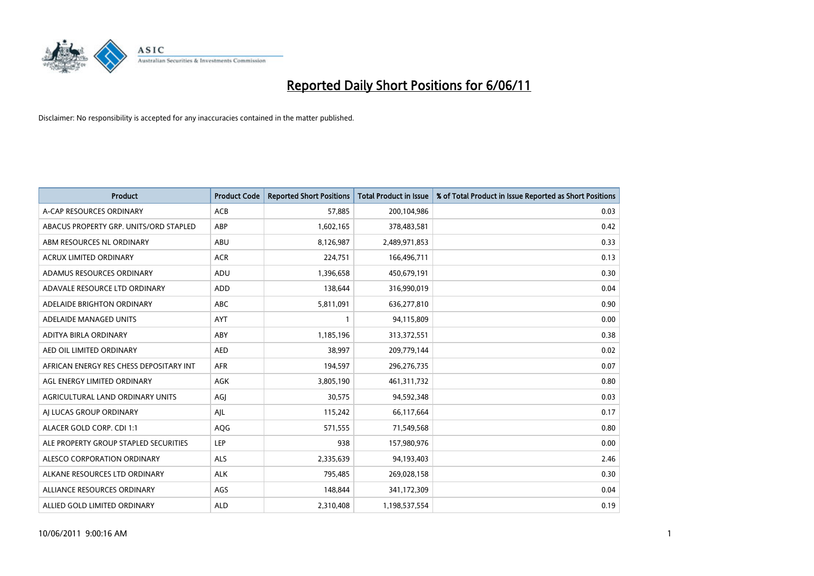

| <b>Product</b>                          | <b>Product Code</b> | <b>Reported Short Positions</b> | <b>Total Product in Issue</b> | % of Total Product in Issue Reported as Short Positions |
|-----------------------------------------|---------------------|---------------------------------|-------------------------------|---------------------------------------------------------|
| A-CAP RESOURCES ORDINARY                | <b>ACB</b>          | 57,885                          | 200,104,986                   | 0.03                                                    |
| ABACUS PROPERTY GRP. UNITS/ORD STAPLED  | ABP                 | 1,602,165                       | 378,483,581                   | 0.42                                                    |
| ABM RESOURCES NL ORDINARY               | ABU                 | 8,126,987                       | 2,489,971,853                 | 0.33                                                    |
| ACRUX LIMITED ORDINARY                  | <b>ACR</b>          | 224,751                         | 166,496,711                   | 0.13                                                    |
| ADAMUS RESOURCES ORDINARY               | ADU                 | 1,396,658                       | 450,679,191                   | 0.30                                                    |
| ADAVALE RESOURCE LTD ORDINARY           | <b>ADD</b>          | 138,644                         | 316,990,019                   | 0.04                                                    |
| ADELAIDE BRIGHTON ORDINARY              | <b>ABC</b>          | 5,811,091                       | 636,277,810                   | 0.90                                                    |
| ADELAIDE MANAGED UNITS                  | <b>AYT</b>          |                                 | 94,115,809                    | 0.00                                                    |
| ADITYA BIRLA ORDINARY                   | ABY                 | 1,185,196                       | 313,372,551                   | 0.38                                                    |
| AED OIL LIMITED ORDINARY                | <b>AED</b>          | 38,997                          | 209,779,144                   | 0.02                                                    |
| AFRICAN ENERGY RES CHESS DEPOSITARY INT | <b>AFR</b>          | 194,597                         | 296,276,735                   | 0.07                                                    |
| AGL ENERGY LIMITED ORDINARY             | <b>AGK</b>          | 3,805,190                       | 461,311,732                   | 0.80                                                    |
| AGRICULTURAL LAND ORDINARY UNITS        | AGJ                 | 30,575                          | 94,592,348                    | 0.03                                                    |
| AI LUCAS GROUP ORDINARY                 | AJL                 | 115,242                         | 66,117,664                    | 0.17                                                    |
| ALACER GOLD CORP. CDI 1:1               | AQG                 | 571,555                         | 71,549,568                    | 0.80                                                    |
| ALE PROPERTY GROUP STAPLED SECURITIES   | <b>LEP</b>          | 938                             | 157,980,976                   | 0.00                                                    |
| ALESCO CORPORATION ORDINARY             | <b>ALS</b>          | 2,335,639                       | 94,193,403                    | 2.46                                                    |
| ALKANE RESOURCES LTD ORDINARY           | <b>ALK</b>          | 795,485                         | 269,028,158                   | 0.30                                                    |
| ALLIANCE RESOURCES ORDINARY             | AGS                 | 148,844                         | 341,172,309                   | 0.04                                                    |
| ALLIED GOLD LIMITED ORDINARY            | <b>ALD</b>          | 2,310,408                       | 1,198,537,554                 | 0.19                                                    |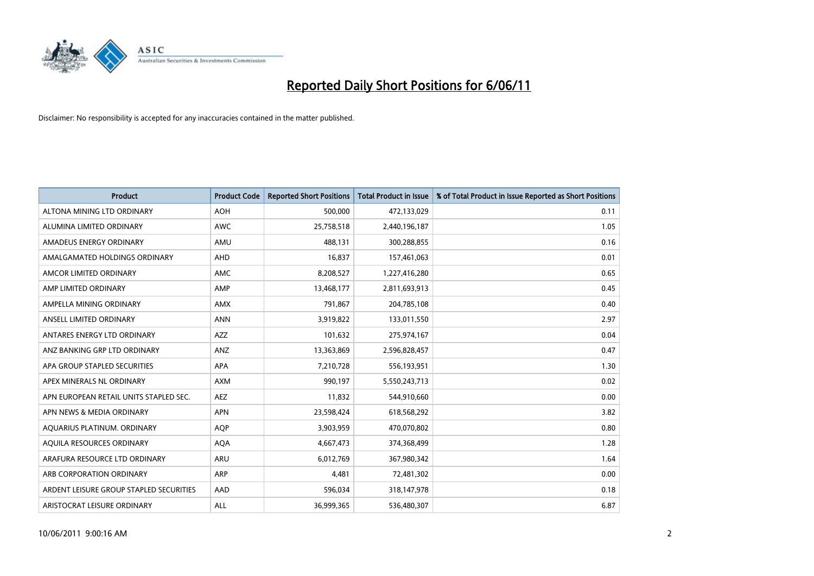

| <b>Product</b>                          | <b>Product Code</b> | <b>Reported Short Positions</b> | <b>Total Product in Issue</b> | % of Total Product in Issue Reported as Short Positions |
|-----------------------------------------|---------------------|---------------------------------|-------------------------------|---------------------------------------------------------|
| ALTONA MINING LTD ORDINARY              | <b>AOH</b>          | 500,000                         | 472,133,029                   | 0.11                                                    |
| ALUMINA LIMITED ORDINARY                | <b>AWC</b>          | 25,758,518                      | 2,440,196,187                 | 1.05                                                    |
| AMADEUS ENERGY ORDINARY                 | AMU                 | 488.131                         | 300,288,855                   | 0.16                                                    |
| AMALGAMATED HOLDINGS ORDINARY           | AHD                 | 16,837                          | 157,461,063                   | 0.01                                                    |
| AMCOR LIMITED ORDINARY                  | <b>AMC</b>          | 8,208,527                       | 1,227,416,280                 | 0.65                                                    |
| AMP LIMITED ORDINARY                    | AMP                 | 13,468,177                      | 2,811,693,913                 | 0.45                                                    |
| AMPELLA MINING ORDINARY                 | <b>AMX</b>          | 791.867                         | 204,785,108                   | 0.40                                                    |
| ANSELL LIMITED ORDINARY                 | <b>ANN</b>          | 3,919,822                       | 133,011,550                   | 2.97                                                    |
| ANTARES ENERGY LTD ORDINARY             | <b>AZZ</b>          | 101,632                         | 275,974,167                   | 0.04                                                    |
| ANZ BANKING GRP LTD ORDINARY            | <b>ANZ</b>          | 13,363,869                      | 2,596,828,457                 | 0.47                                                    |
| APA GROUP STAPLED SECURITIES            | <b>APA</b>          | 7,210,728                       | 556,193,951                   | 1.30                                                    |
| APEX MINERALS NL ORDINARY               | <b>AXM</b>          | 990,197                         | 5,550,243,713                 | 0.02                                                    |
| APN EUROPEAN RETAIL UNITS STAPLED SEC.  | <b>AEZ</b>          | 11,832                          | 544,910,660                   | 0.00                                                    |
| APN NEWS & MEDIA ORDINARY               | <b>APN</b>          | 23,598,424                      | 618,568,292                   | 3.82                                                    |
| AQUARIUS PLATINUM. ORDINARY             | <b>AOP</b>          | 3,903,959                       | 470,070,802                   | 0.80                                                    |
| AQUILA RESOURCES ORDINARY               | <b>AQA</b>          | 4,667,473                       | 374,368,499                   | 1.28                                                    |
| ARAFURA RESOURCE LTD ORDINARY           | <b>ARU</b>          | 6,012,769                       | 367,980,342                   | 1.64                                                    |
| ARB CORPORATION ORDINARY                | <b>ARP</b>          | 4,481                           | 72,481,302                    | 0.00                                                    |
| ARDENT LEISURE GROUP STAPLED SECURITIES | AAD                 | 596,034                         | 318,147,978                   | 0.18                                                    |
| ARISTOCRAT LEISURE ORDINARY             | ALL                 | 36,999,365                      | 536,480,307                   | 6.87                                                    |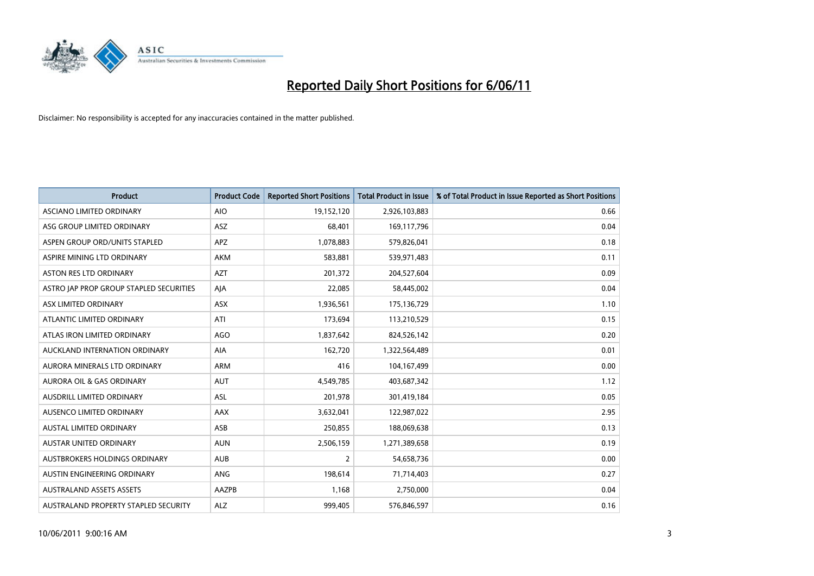

| <b>Product</b>                          | <b>Product Code</b> | <b>Reported Short Positions</b> | <b>Total Product in Issue</b> | % of Total Product in Issue Reported as Short Positions |
|-----------------------------------------|---------------------|---------------------------------|-------------------------------|---------------------------------------------------------|
| <b>ASCIANO LIMITED ORDINARY</b>         | <b>AIO</b>          | 19,152,120                      | 2,926,103,883                 | 0.66                                                    |
| ASG GROUP LIMITED ORDINARY              | ASZ                 | 68,401                          | 169,117,796                   | 0.04                                                    |
| ASPEN GROUP ORD/UNITS STAPLED           | <b>APZ</b>          | 1,078,883                       | 579,826,041                   | 0.18                                                    |
| ASPIRE MINING LTD ORDINARY              | <b>AKM</b>          | 583,881                         | 539,971,483                   | 0.11                                                    |
| <b>ASTON RES LTD ORDINARY</b>           | <b>AZT</b>          | 201,372                         | 204,527,604                   | 0.09                                                    |
| ASTRO JAP PROP GROUP STAPLED SECURITIES | AJA                 | 22,085                          | 58,445,002                    | 0.04                                                    |
| ASX LIMITED ORDINARY                    | <b>ASX</b>          | 1,936,561                       | 175,136,729                   | 1.10                                                    |
| ATLANTIC LIMITED ORDINARY               | ATI                 | 173,694                         | 113,210,529                   | 0.15                                                    |
| ATLAS IRON LIMITED ORDINARY             | <b>AGO</b>          | 1,837,642                       | 824,526,142                   | 0.20                                                    |
| AUCKLAND INTERNATION ORDINARY           | <b>AIA</b>          | 162,720                         | 1,322,564,489                 | 0.01                                                    |
| AURORA MINERALS LTD ORDINARY            | <b>ARM</b>          | 416                             | 104,167,499                   | 0.00                                                    |
| <b>AURORA OIL &amp; GAS ORDINARY</b>    | <b>AUT</b>          | 4,549,785                       | 403,687,342                   | 1.12                                                    |
| <b>AUSDRILL LIMITED ORDINARY</b>        | ASL                 | 201,978                         | 301,419,184                   | 0.05                                                    |
| AUSENCO LIMITED ORDINARY                | <b>AAX</b>          | 3,632,041                       | 122,987,022                   | 2.95                                                    |
| AUSTAL LIMITED ORDINARY                 | ASB                 | 250,855                         | 188,069,638                   | 0.13                                                    |
| AUSTAR UNITED ORDINARY                  | <b>AUN</b>          | 2,506,159                       | 1,271,389,658                 | 0.19                                                    |
| <b>AUSTBROKERS HOLDINGS ORDINARY</b>    | <b>AUB</b>          | $\overline{2}$                  | 54,658,736                    | 0.00                                                    |
| AUSTIN ENGINEERING ORDINARY             | <b>ANG</b>          | 198,614                         | 71,714,403                    | 0.27                                                    |
| <b>AUSTRALAND ASSETS ASSETS</b>         | AAZPB               | 1,168                           | 2,750,000                     | 0.04                                                    |
| AUSTRALAND PROPERTY STAPLED SECURITY    | <b>ALZ</b>          | 999.405                         | 576,846,597                   | 0.16                                                    |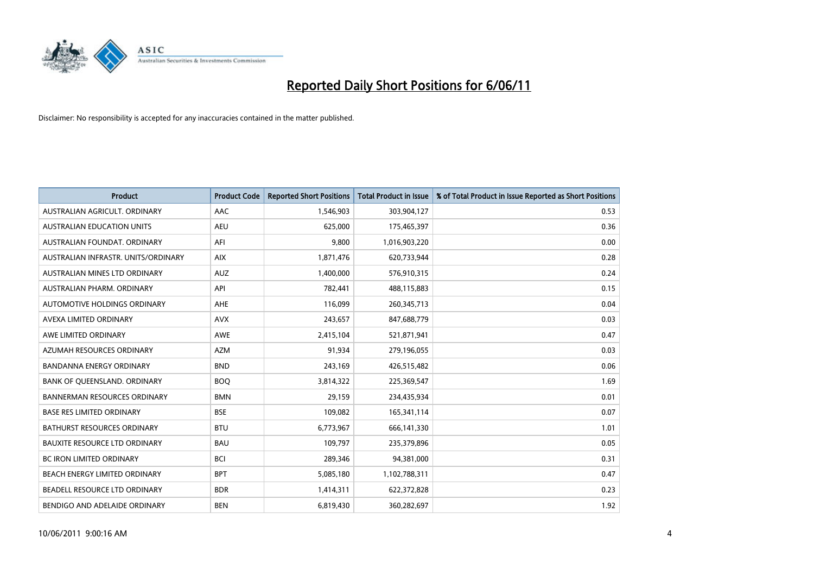

| <b>Product</b>                       | <b>Product Code</b> | <b>Reported Short Positions</b> | <b>Total Product in Issue</b> | % of Total Product in Issue Reported as Short Positions |
|--------------------------------------|---------------------|---------------------------------|-------------------------------|---------------------------------------------------------|
| AUSTRALIAN AGRICULT, ORDINARY        | AAC                 | 1,546,903                       | 303,904,127                   | 0.53                                                    |
| AUSTRALIAN EDUCATION UNITS           | <b>AEU</b>          | 625,000                         | 175,465,397                   | 0.36                                                    |
| AUSTRALIAN FOUNDAT, ORDINARY         | AFI                 | 9.800                           | 1,016,903,220                 | 0.00                                                    |
| AUSTRALIAN INFRASTR, UNITS/ORDINARY  | <b>AIX</b>          | 1,871,476                       | 620,733,944                   | 0.28                                                    |
| AUSTRALIAN MINES LTD ORDINARY        | <b>AUZ</b>          | 1,400,000                       | 576,910,315                   | 0.24                                                    |
| AUSTRALIAN PHARM, ORDINARY           | API                 | 782,441                         | 488,115,883                   | 0.15                                                    |
| AUTOMOTIVE HOLDINGS ORDINARY         | <b>AHE</b>          | 116,099                         | 260,345,713                   | 0.04                                                    |
| AVEXA LIMITED ORDINARY               | <b>AVX</b>          | 243,657                         | 847,688,779                   | 0.03                                                    |
| AWE LIMITED ORDINARY                 | <b>AWE</b>          | 2,415,104                       | 521,871,941                   | 0.47                                                    |
| AZUMAH RESOURCES ORDINARY            | <b>AZM</b>          | 91,934                          | 279,196,055                   | 0.03                                                    |
| <b>BANDANNA ENERGY ORDINARY</b>      | <b>BND</b>          | 243,169                         | 426,515,482                   | 0.06                                                    |
| BANK OF QUEENSLAND. ORDINARY         | <b>BOO</b>          | 3,814,322                       | 225,369,547                   | 1.69                                                    |
| <b>BANNERMAN RESOURCES ORDINARY</b>  | <b>BMN</b>          | 29,159                          | 234,435,934                   | 0.01                                                    |
| <b>BASE RES LIMITED ORDINARY</b>     | <b>BSE</b>          | 109,082                         | 165,341,114                   | 0.07                                                    |
| BATHURST RESOURCES ORDINARY          | <b>BTU</b>          | 6,773,967                       | 666,141,330                   | 1.01                                                    |
| <b>BAUXITE RESOURCE LTD ORDINARY</b> | <b>BAU</b>          | 109.797                         | 235,379,896                   | 0.05                                                    |
| <b>BC IRON LIMITED ORDINARY</b>      | <b>BCI</b>          | 289,346                         | 94,381,000                    | 0.31                                                    |
| BEACH ENERGY LIMITED ORDINARY        | <b>BPT</b>          | 5,085,180                       | 1,102,788,311                 | 0.47                                                    |
| BEADELL RESOURCE LTD ORDINARY        | <b>BDR</b>          | 1,414,311                       | 622,372,828                   | 0.23                                                    |
| BENDIGO AND ADELAIDE ORDINARY        | <b>BEN</b>          | 6,819,430                       | 360,282,697                   | 1.92                                                    |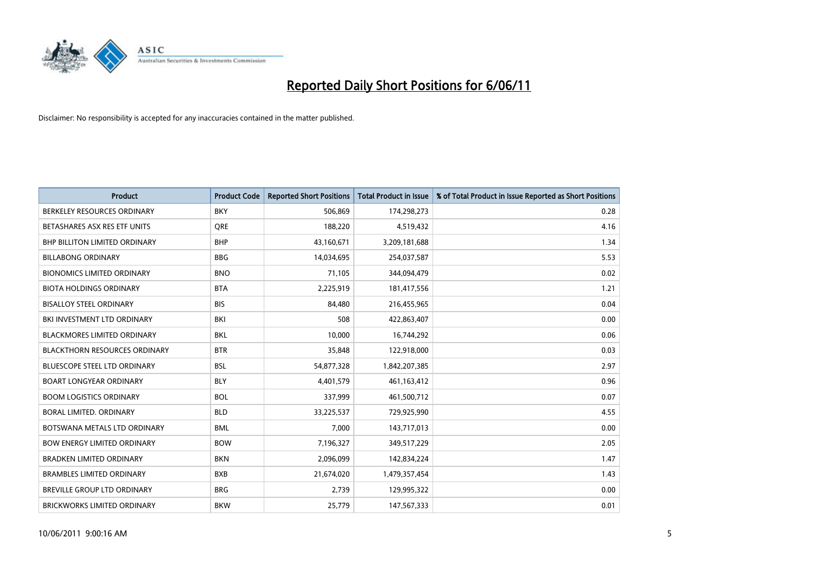

| <b>Product</b>                       | <b>Product Code</b> | <b>Reported Short Positions</b> | <b>Total Product in Issue</b> | % of Total Product in Issue Reported as Short Positions |
|--------------------------------------|---------------------|---------------------------------|-------------------------------|---------------------------------------------------------|
| BERKELEY RESOURCES ORDINARY          | <b>BKY</b>          | 506,869                         | 174,298,273                   | 0.28                                                    |
| BETASHARES ASX RES ETF UNITS         | <b>ORE</b>          | 188,220                         | 4,519,432                     | 4.16                                                    |
| <b>BHP BILLITON LIMITED ORDINARY</b> | <b>BHP</b>          | 43,160,671                      | 3,209,181,688                 | 1.34                                                    |
| <b>BILLABONG ORDINARY</b>            | <b>BBG</b>          | 14,034,695                      | 254,037,587                   | 5.53                                                    |
| <b>BIONOMICS LIMITED ORDINARY</b>    | <b>BNO</b>          | 71,105                          | 344,094,479                   | 0.02                                                    |
| <b>BIOTA HOLDINGS ORDINARY</b>       | <b>BTA</b>          | 2,225,919                       | 181,417,556                   | 1.21                                                    |
| <b>BISALLOY STEEL ORDINARY</b>       | <b>BIS</b>          | 84.480                          | 216,455,965                   | 0.04                                                    |
| BKI INVESTMENT LTD ORDINARY          | BKI                 | 508                             | 422,863,407                   | 0.00                                                    |
| <b>BLACKMORES LIMITED ORDINARY</b>   | <b>BKL</b>          | 10,000                          | 16,744,292                    | 0.06                                                    |
| <b>BLACKTHORN RESOURCES ORDINARY</b> | <b>BTR</b>          | 35,848                          | 122,918,000                   | 0.03                                                    |
| BLUESCOPE STEEL LTD ORDINARY         | <b>BSL</b>          | 54,877,328                      | 1,842,207,385                 | 2.97                                                    |
| <b>BOART LONGYEAR ORDINARY</b>       | <b>BLY</b>          | 4,401,579                       | 461,163,412                   | 0.96                                                    |
| <b>BOOM LOGISTICS ORDINARY</b>       | <b>BOL</b>          | 337,999                         | 461,500,712                   | 0.07                                                    |
| BORAL LIMITED, ORDINARY              | <b>BLD</b>          | 33,225,537                      | 729,925,990                   | 4.55                                                    |
| BOTSWANA METALS LTD ORDINARY         | <b>BML</b>          | 7,000                           | 143,717,013                   | 0.00                                                    |
| <b>BOW ENERGY LIMITED ORDINARY</b>   | <b>BOW</b>          | 7,196,327                       | 349,517,229                   | 2.05                                                    |
| <b>BRADKEN LIMITED ORDINARY</b>      | <b>BKN</b>          | 2,096,099                       | 142,834,224                   | 1.47                                                    |
| <b>BRAMBLES LIMITED ORDINARY</b>     | <b>BXB</b>          | 21,674,020                      | 1,479,357,454                 | 1.43                                                    |
| <b>BREVILLE GROUP LTD ORDINARY</b>   | <b>BRG</b>          | 2,739                           | 129,995,322                   | 0.00                                                    |
| <b>BRICKWORKS LIMITED ORDINARY</b>   | <b>BKW</b>          | 25.779                          | 147,567,333                   | 0.01                                                    |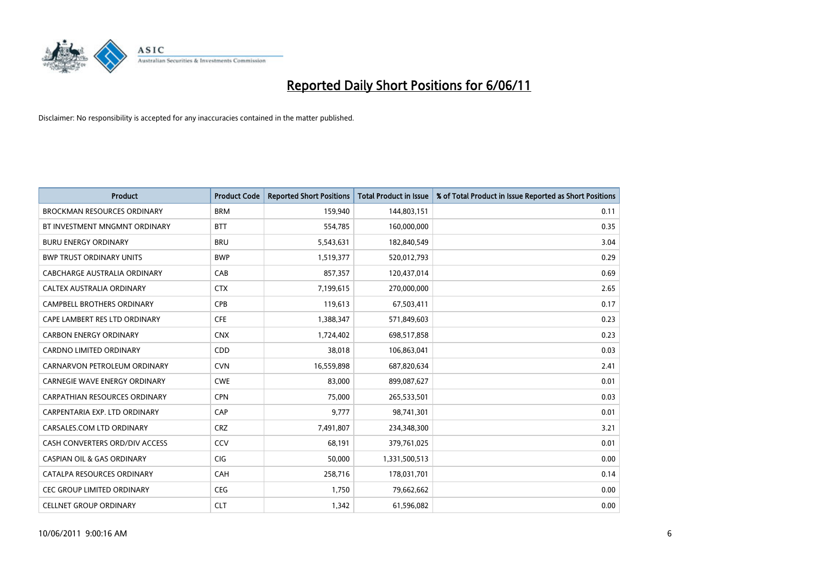

| <b>Product</b>                        | <b>Product Code</b> | <b>Reported Short Positions</b> | Total Product in Issue | % of Total Product in Issue Reported as Short Positions |
|---------------------------------------|---------------------|---------------------------------|------------------------|---------------------------------------------------------|
| <b>BROCKMAN RESOURCES ORDINARY</b>    | <b>BRM</b>          | 159,940                         | 144,803,151            | 0.11                                                    |
| BT INVESTMENT MNGMNT ORDINARY         | <b>BTT</b>          | 554,785                         | 160,000,000            | 0.35                                                    |
| <b>BURU ENERGY ORDINARY</b>           | <b>BRU</b>          | 5,543,631                       | 182,840,549            | 3.04                                                    |
| <b>BWP TRUST ORDINARY UNITS</b>       | <b>BWP</b>          | 1,519,377                       | 520,012,793            | 0.29                                                    |
| CABCHARGE AUSTRALIA ORDINARY          | CAB                 | 857,357                         | 120,437,014            | 0.69                                                    |
| CALTEX AUSTRALIA ORDINARY             | <b>CTX</b>          | 7,199,615                       | 270,000,000            | 2.65                                                    |
| <b>CAMPBELL BROTHERS ORDINARY</b>     | <b>CPB</b>          | 119,613                         | 67,503,411             | 0.17                                                    |
| CAPE LAMBERT RES LTD ORDINARY         | <b>CFE</b>          | 1,388,347                       | 571,849,603            | 0.23                                                    |
| <b>CARBON ENERGY ORDINARY</b>         | <b>CNX</b>          | 1,724,402                       | 698,517,858            | 0.23                                                    |
| <b>CARDNO LIMITED ORDINARY</b>        | CDD                 | 38,018                          | 106,863,041            | 0.03                                                    |
| CARNARVON PETROLEUM ORDINARY          | <b>CVN</b>          | 16,559,898                      | 687,820,634            | 2.41                                                    |
| <b>CARNEGIE WAVE ENERGY ORDINARY</b>  | <b>CWE</b>          | 83,000                          | 899,087,627            | 0.01                                                    |
| <b>CARPATHIAN RESOURCES ORDINARY</b>  | <b>CPN</b>          | 75.000                          | 265,533,501            | 0.03                                                    |
| CARPENTARIA EXP. LTD ORDINARY         | CAP                 | 9,777                           | 98,741,301             | 0.01                                                    |
| CARSALES.COM LTD ORDINARY             | <b>CRZ</b>          | 7,491,807                       | 234,348,300            | 3.21                                                    |
| CASH CONVERTERS ORD/DIV ACCESS        | CCV                 | 68,191                          | 379,761,025            | 0.01                                                    |
| <b>CASPIAN OIL &amp; GAS ORDINARY</b> | <b>CIG</b>          | 50,000                          | 1,331,500,513          | 0.00                                                    |
| CATALPA RESOURCES ORDINARY            | CAH                 | 258,716                         | 178,031,701            | 0.14                                                    |
| <b>CEC GROUP LIMITED ORDINARY</b>     | <b>CEG</b>          | 1,750                           | 79,662,662             | 0.00                                                    |
| <b>CELLNET GROUP ORDINARY</b>         | <b>CLT</b>          | 1,342                           | 61,596,082             | 0.00                                                    |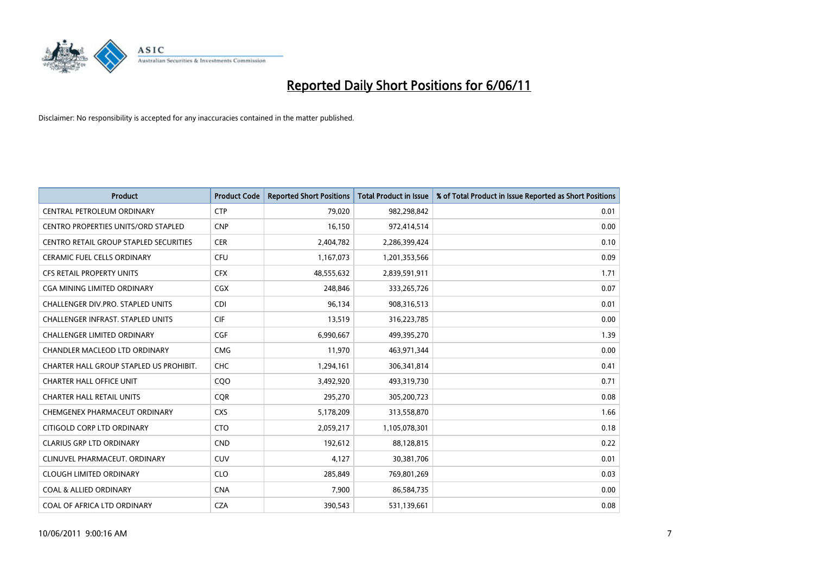

| <b>Product</b>                                | <b>Product Code</b> | <b>Reported Short Positions</b> | Total Product in Issue | % of Total Product in Issue Reported as Short Positions |
|-----------------------------------------------|---------------------|---------------------------------|------------------------|---------------------------------------------------------|
| CENTRAL PETROLEUM ORDINARY                    | <b>CTP</b>          | 79,020                          | 982,298,842            | 0.01                                                    |
| CENTRO PROPERTIES UNITS/ORD STAPLED           | <b>CNP</b>          | 16,150                          | 972,414,514            | 0.00                                                    |
| <b>CENTRO RETAIL GROUP STAPLED SECURITIES</b> | <b>CER</b>          | 2,404,782                       | 2,286,399,424          | 0.10                                                    |
| CERAMIC FUEL CELLS ORDINARY                   | <b>CFU</b>          | 1,167,073                       | 1,201,353,566          | 0.09                                                    |
| <b>CFS RETAIL PROPERTY UNITS</b>              | <b>CFX</b>          | 48,555,632                      | 2,839,591,911          | 1.71                                                    |
| CGA MINING LIMITED ORDINARY                   | <b>CGX</b>          | 248.846                         | 333,265,726            | 0.07                                                    |
| <b>CHALLENGER DIV.PRO. STAPLED UNITS</b>      | <b>CDI</b>          | 96,134                          | 908,316,513            | 0.01                                                    |
| <b>CHALLENGER INFRAST, STAPLED UNITS</b>      | <b>CIF</b>          | 13,519                          | 316,223,785            | 0.00                                                    |
| <b>CHALLENGER LIMITED ORDINARY</b>            | CGF                 | 6,990,667                       | 499,395,270            | 1.39                                                    |
| CHANDLER MACLEOD LTD ORDINARY                 | <b>CMG</b>          | 11,970                          | 463,971,344            | 0.00                                                    |
| CHARTER HALL GROUP STAPLED US PROHIBIT.       | <b>CHC</b>          | 1,294,161                       | 306,341,814            | 0.41                                                    |
| <b>CHARTER HALL OFFICE UNIT</b>               | COO                 | 3,492,920                       | 493,319,730            | 0.71                                                    |
| <b>CHARTER HALL RETAIL UNITS</b>              | <b>COR</b>          | 295,270                         | 305,200,723            | 0.08                                                    |
| CHEMGENEX PHARMACEUT ORDINARY                 | <b>CXS</b>          | 5,178,209                       | 313,558,870            | 1.66                                                    |
| CITIGOLD CORP LTD ORDINARY                    | <b>CTO</b>          | 2,059,217                       | 1,105,078,301          | 0.18                                                    |
| <b>CLARIUS GRP LTD ORDINARY</b>               | <b>CND</b>          | 192,612                         | 88,128,815             | 0.22                                                    |
| CLINUVEL PHARMACEUT. ORDINARY                 | <b>CUV</b>          | 4,127                           | 30,381,706             | 0.01                                                    |
| <b>CLOUGH LIMITED ORDINARY</b>                | <b>CLO</b>          | 285,849                         | 769,801,269            | 0.03                                                    |
| <b>COAL &amp; ALLIED ORDINARY</b>             | <b>CNA</b>          | 7,900                           | 86,584,735             | 0.00                                                    |
| COAL OF AFRICA LTD ORDINARY                   | <b>CZA</b>          | 390,543                         | 531,139,661            | 0.08                                                    |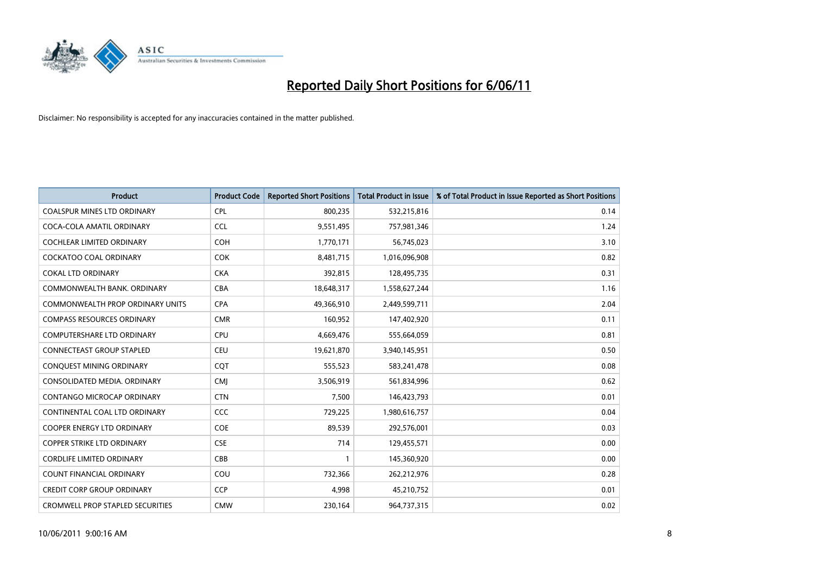

| <b>Product</b>                          | <b>Product Code</b> | <b>Reported Short Positions</b> | <b>Total Product in Issue</b> | % of Total Product in Issue Reported as Short Positions |
|-----------------------------------------|---------------------|---------------------------------|-------------------------------|---------------------------------------------------------|
| <b>COALSPUR MINES LTD ORDINARY</b>      | <b>CPL</b>          | 800,235                         | 532,215,816                   | 0.14                                                    |
| COCA-COLA AMATIL ORDINARY               | <b>CCL</b>          | 9,551,495                       | 757,981,346                   | 1.24                                                    |
| <b>COCHLEAR LIMITED ORDINARY</b>        | <b>COH</b>          | 1,770,171                       | 56,745,023                    | 3.10                                                    |
| COCKATOO COAL ORDINARY                  | <b>COK</b>          | 8,481,715                       | 1,016,096,908                 | 0.82                                                    |
| <b>COKAL LTD ORDINARY</b>               | <b>CKA</b>          | 392,815                         | 128,495,735                   | 0.31                                                    |
| COMMONWEALTH BANK, ORDINARY             | <b>CBA</b>          | 18,648,317                      | 1,558,627,244                 | 1.16                                                    |
| COMMONWEALTH PROP ORDINARY UNITS        | <b>CPA</b>          | 49,366,910                      | 2,449,599,711                 | 2.04                                                    |
| <b>COMPASS RESOURCES ORDINARY</b>       | <b>CMR</b>          | 160,952                         | 147,402,920                   | 0.11                                                    |
| COMPUTERSHARE LTD ORDINARY              | CPU                 | 4,669,476                       | 555,664,059                   | 0.81                                                    |
| <b>CONNECTEAST GROUP STAPLED</b>        | <b>CEU</b>          | 19,621,870                      | 3,940,145,951                 | 0.50                                                    |
| CONQUEST MINING ORDINARY                | CQT                 | 555,523                         | 583,241,478                   | 0.08                                                    |
| CONSOLIDATED MEDIA, ORDINARY            | <b>CMI</b>          | 3,506,919                       | 561,834,996                   | 0.62                                                    |
| CONTANGO MICROCAP ORDINARY              | <b>CTN</b>          | 7,500                           | 146,423,793                   | 0.01                                                    |
| CONTINENTAL COAL LTD ORDINARY           | CCC                 | 729,225                         | 1,980,616,757                 | 0.04                                                    |
| <b>COOPER ENERGY LTD ORDINARY</b>       | COE                 | 89,539                          | 292,576,001                   | 0.03                                                    |
| <b>COPPER STRIKE LTD ORDINARY</b>       | <b>CSE</b>          | 714                             | 129,455,571                   | 0.00                                                    |
| <b>CORDLIFE LIMITED ORDINARY</b>        | CBB                 |                                 | 145,360,920                   | 0.00                                                    |
| COUNT FINANCIAL ORDINARY                | COU                 | 732,366                         | 262,212,976                   | 0.28                                                    |
| <b>CREDIT CORP GROUP ORDINARY</b>       | <b>CCP</b>          | 4,998                           | 45,210,752                    | 0.01                                                    |
| <b>CROMWELL PROP STAPLED SECURITIES</b> | <b>CMW</b>          | 230,164                         | 964,737,315                   | 0.02                                                    |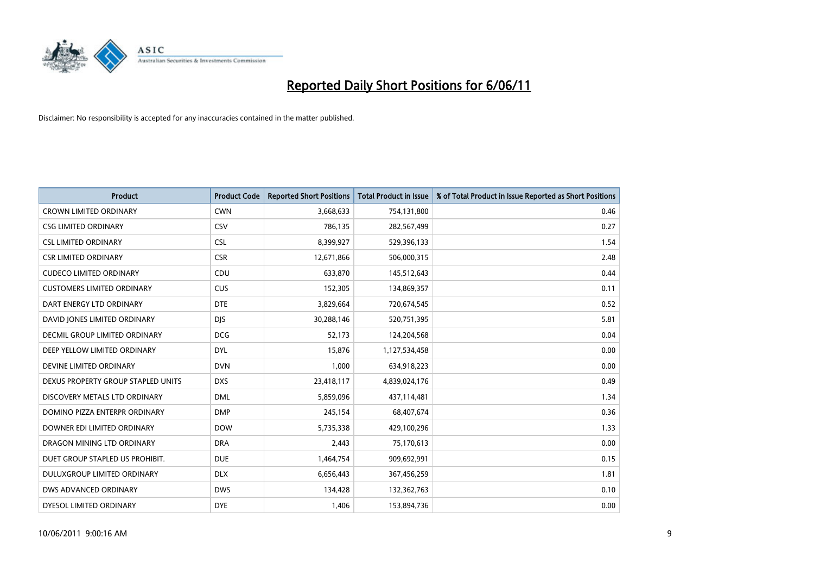

| <b>Product</b>                     | <b>Product Code</b> | <b>Reported Short Positions</b> | <b>Total Product in Issue</b> | % of Total Product in Issue Reported as Short Positions |
|------------------------------------|---------------------|---------------------------------|-------------------------------|---------------------------------------------------------|
| <b>CROWN LIMITED ORDINARY</b>      | <b>CWN</b>          | 3,668,633                       | 754,131,800                   | 0.46                                                    |
| <b>CSG LIMITED ORDINARY</b>        | CSV                 | 786,135                         | 282,567,499                   | 0.27                                                    |
| <b>CSL LIMITED ORDINARY</b>        | <b>CSL</b>          | 8,399,927                       | 529,396,133                   | 1.54                                                    |
| <b>CSR LIMITED ORDINARY</b>        | <b>CSR</b>          | 12,671,866                      | 506,000,315                   | 2.48                                                    |
| <b>CUDECO LIMITED ORDINARY</b>     | CDU                 | 633,870                         | 145,512,643                   | 0.44                                                    |
| <b>CUSTOMERS LIMITED ORDINARY</b>  | CUS                 | 152,305                         | 134,869,357                   | 0.11                                                    |
| DART ENERGY LTD ORDINARY           | <b>DTE</b>          | 3,829,664                       | 720,674,545                   | 0.52                                                    |
| DAVID JONES LIMITED ORDINARY       | <b>DIS</b>          | 30,288,146                      | 520,751,395                   | 5.81                                                    |
| DECMIL GROUP LIMITED ORDINARY      | <b>DCG</b>          | 52,173                          | 124,204,568                   | 0.04                                                    |
| DEEP YELLOW LIMITED ORDINARY       | <b>DYL</b>          | 15,876                          | 1,127,534,458                 | 0.00                                                    |
| DEVINE LIMITED ORDINARY            | <b>DVN</b>          | 1,000                           | 634,918,223                   | 0.00                                                    |
| DEXUS PROPERTY GROUP STAPLED UNITS | <b>DXS</b>          | 23,418,117                      | 4,839,024,176                 | 0.49                                                    |
| DISCOVERY METALS LTD ORDINARY      | <b>DML</b>          | 5,859,096                       | 437,114,481                   | 1.34                                                    |
| DOMINO PIZZA ENTERPR ORDINARY      | <b>DMP</b>          | 245,154                         | 68,407,674                    | 0.36                                                    |
| DOWNER EDI LIMITED ORDINARY        | <b>DOW</b>          | 5,735,338                       | 429,100,296                   | 1.33                                                    |
| DRAGON MINING LTD ORDINARY         | <b>DRA</b>          | 2,443                           | 75,170,613                    | 0.00                                                    |
| DUET GROUP STAPLED US PROHIBIT.    | <b>DUE</b>          | 1,464,754                       | 909,692,991                   | 0.15                                                    |
| DULUXGROUP LIMITED ORDINARY        | <b>DLX</b>          | 6,656,443                       | 367,456,259                   | 1.81                                                    |
| DWS ADVANCED ORDINARY              | <b>DWS</b>          | 134,428                         | 132,362,763                   | 0.10                                                    |
| DYESOL LIMITED ORDINARY            | <b>DYE</b>          | 1,406                           | 153,894,736                   | 0.00                                                    |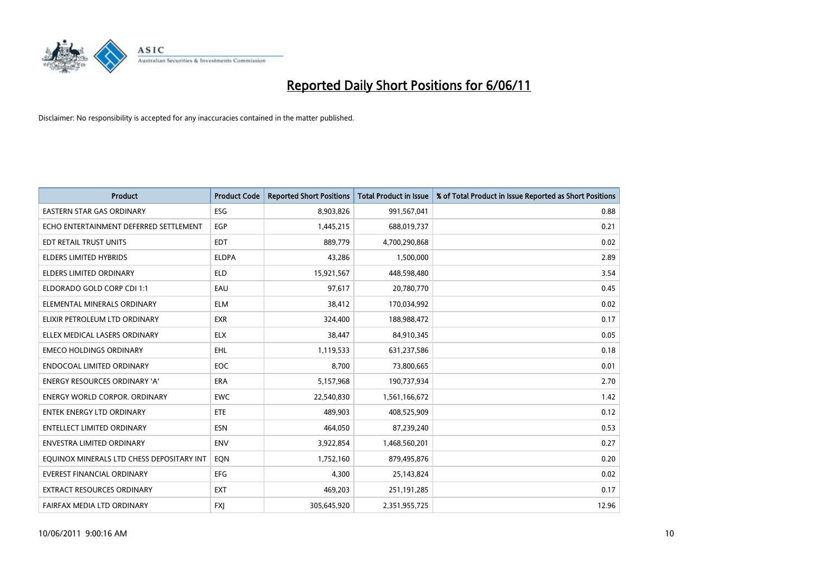

| <b>Product</b>                            | <b>Product Code</b> | <b>Reported Short Positions</b> | <b>Total Product in Issue</b> | % of Total Product in Issue Reported as Short Positions |
|-------------------------------------------|---------------------|---------------------------------|-------------------------------|---------------------------------------------------------|
| <b>EASTERN STAR GAS ORDINARY</b>          | ESG                 | 8,903,826                       | 991,567,041                   | 0.88                                                    |
| ECHO ENTERTAINMENT DEFERRED SETTLEMENT    | <b>EGP</b>          | 1,445,215                       | 688,019,737                   | 0.21                                                    |
| EDT RETAIL TRUST UNITS                    | <b>EDT</b>          | 889,779                         | 4,700,290,868                 | 0.02                                                    |
| ELDERS LIMITED HYBRIDS                    | <b>ELDPA</b>        | 43,286                          | 1,500,000                     | 2.89                                                    |
| <b>ELDERS LIMITED ORDINARY</b>            | <b>ELD</b>          | 15,921,567                      | 448,598,480                   | 3.54                                                    |
| ELDORADO GOLD CORP CDI 1:1                | EAU                 | 97,617                          | 20,780,770                    | 0.45                                                    |
| ELEMENTAL MINERALS ORDINARY               | <b>ELM</b>          | 38,412                          | 170,034,992                   | 0.02                                                    |
| ELIXIR PETROLEUM LTD ORDINARY             | <b>EXR</b>          | 324,400                         | 188,988,472                   | 0.17                                                    |
| ELLEX MEDICAL LASERS ORDINARY             | <b>ELX</b>          | 38,447                          | 84,910,345                    | 0.05                                                    |
| <b>EMECO HOLDINGS ORDINARY</b>            | <b>EHL</b>          | 1,119,533                       | 631,237,586                   | 0.18                                                    |
| <b>ENDOCOAL LIMITED ORDINARY</b>          | EOC                 | 8,700                           | 73,800,665                    | 0.01                                                    |
| <b>ENERGY RESOURCES ORDINARY 'A'</b>      | <b>ERA</b>          | 5,157,968                       | 190,737,934                   | 2.70                                                    |
| ENERGY WORLD CORPOR. ORDINARY             | <b>EWC</b>          | 22,540,830                      | 1,561,166,672                 | 1.42                                                    |
| <b>ENTEK ENERGY LTD ORDINARY</b>          | ETE                 | 489,903                         | 408,525,909                   | 0.12                                                    |
| <b>ENTELLECT LIMITED ORDINARY</b>         | <b>ESN</b>          | 464,050                         | 87,239,240                    | 0.53                                                    |
| ENVESTRA LIMITED ORDINARY                 | <b>ENV</b>          | 3,922,854                       | 1,468,560,201                 | 0.27                                                    |
| EQUINOX MINERALS LTD CHESS DEPOSITARY INT | EON                 | 1,752,160                       | 879,495,876                   | 0.20                                                    |
| <b>EVEREST FINANCIAL ORDINARY</b>         | <b>EFG</b>          | 4,300                           | 25,143,824                    | 0.02                                                    |
| <b>EXTRACT RESOURCES ORDINARY</b>         | <b>EXT</b>          | 469,203                         | 251,191,285                   | 0.17                                                    |
| FAIRFAX MEDIA LTD ORDINARY                | <b>FXI</b>          | 305,645,920                     | 2,351,955,725                 | 12.96                                                   |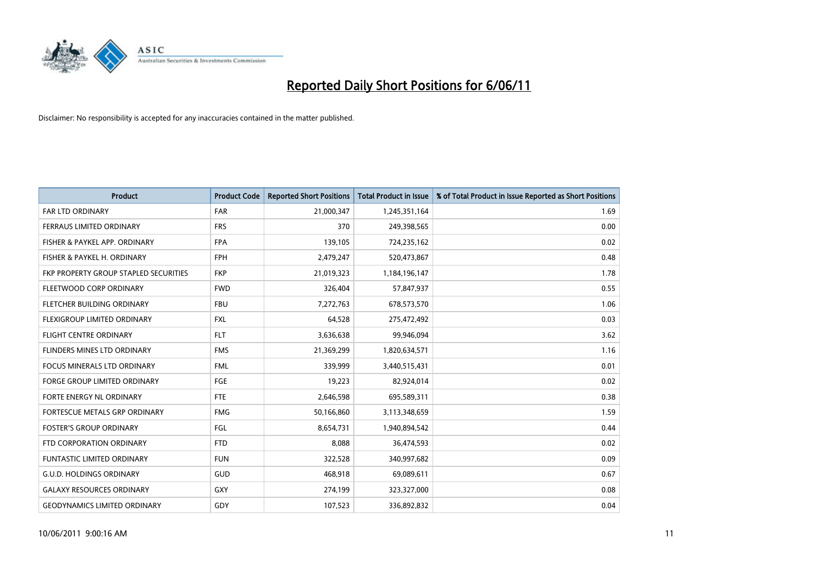

| <b>Product</b>                        | <b>Product Code</b> | <b>Reported Short Positions</b> | Total Product in Issue | % of Total Product in Issue Reported as Short Positions |
|---------------------------------------|---------------------|---------------------------------|------------------------|---------------------------------------------------------|
| <b>FAR LTD ORDINARY</b>               | <b>FAR</b>          | 21,000,347                      | 1,245,351,164          | 1.69                                                    |
| FERRAUS LIMITED ORDINARY              | <b>FRS</b>          | 370                             | 249,398,565            | 0.00                                                    |
| FISHER & PAYKEL APP. ORDINARY         | <b>FPA</b>          | 139,105                         | 724,235,162            | 0.02                                                    |
| FISHER & PAYKEL H. ORDINARY           | <b>FPH</b>          | 2,479,247                       | 520,473,867            | 0.48                                                    |
| FKP PROPERTY GROUP STAPLED SECURITIES | <b>FKP</b>          | 21,019,323                      | 1,184,196,147          | 1.78                                                    |
| FLEETWOOD CORP ORDINARY               | <b>FWD</b>          | 326,404                         | 57,847,937             | 0.55                                                    |
| FLETCHER BUILDING ORDINARY            | <b>FBU</b>          | 7,272,763                       | 678,573,570            | 1.06                                                    |
| FLEXIGROUP LIMITED ORDINARY           | <b>FXL</b>          | 64,528                          | 275,472,492            | 0.03                                                    |
| FLIGHT CENTRE ORDINARY                | <b>FLT</b>          | 3,636,638                       | 99,946,094             | 3.62                                                    |
| FLINDERS MINES LTD ORDINARY           | <b>FMS</b>          | 21,369,299                      | 1,820,634,571          | 1.16                                                    |
| FOCUS MINERALS LTD ORDINARY           | <b>FML</b>          | 339,999                         | 3,440,515,431          | 0.01                                                    |
| <b>FORGE GROUP LIMITED ORDINARY</b>   | <b>FGE</b>          | 19,223                          | 82,924,014             | 0.02                                                    |
| <b>FORTE ENERGY NL ORDINARY</b>       | <b>FTE</b>          | 2,646,598                       | 695,589,311            | 0.38                                                    |
| FORTESCUE METALS GRP ORDINARY         | <b>FMG</b>          | 50,166,860                      | 3,113,348,659          | 1.59                                                    |
| <b>FOSTER'S GROUP ORDINARY</b>        | <b>FGL</b>          | 8,654,731                       | 1,940,894,542          | 0.44                                                    |
| FTD CORPORATION ORDINARY              | <b>FTD</b>          | 8,088                           | 36,474,593             | 0.02                                                    |
| <b>FUNTASTIC LIMITED ORDINARY</b>     | <b>FUN</b>          | 322,528                         | 340,997,682            | 0.09                                                    |
| <b>G.U.D. HOLDINGS ORDINARY</b>       | GUD                 | 468,918                         | 69,089,611             | 0.67                                                    |
| <b>GALAXY RESOURCES ORDINARY</b>      | <b>GXY</b>          | 274,199                         | 323,327,000            | 0.08                                                    |
| <b>GEODYNAMICS LIMITED ORDINARY</b>   | GDY                 | 107,523                         | 336,892,832            | 0.04                                                    |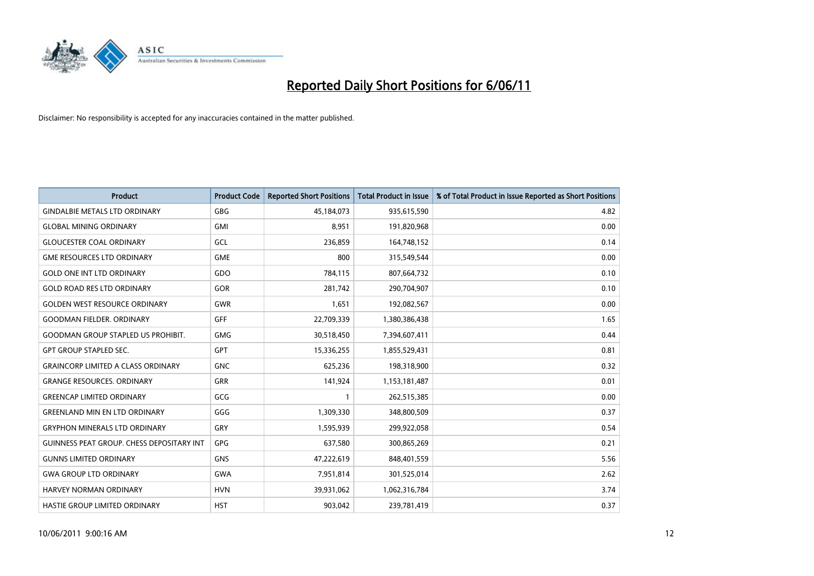

| <b>Product</b>                                   | <b>Product Code</b> | <b>Reported Short Positions</b> | Total Product in Issue | % of Total Product in Issue Reported as Short Positions |
|--------------------------------------------------|---------------------|---------------------------------|------------------------|---------------------------------------------------------|
| <b>GINDALBIE METALS LTD ORDINARY</b>             | <b>GBG</b>          | 45,184,073                      | 935,615,590            | 4.82                                                    |
| <b>GLOBAL MINING ORDINARY</b>                    | <b>GMI</b>          | 8,951                           | 191,820,968            | 0.00                                                    |
| <b>GLOUCESTER COAL ORDINARY</b>                  | GCL                 | 236,859                         | 164,748,152            | 0.14                                                    |
| <b>GME RESOURCES LTD ORDINARY</b>                | <b>GME</b>          | 800                             | 315,549,544            | 0.00                                                    |
| <b>GOLD ONE INT LTD ORDINARY</b>                 | GDO                 | 784,115                         | 807,664,732            | 0.10                                                    |
| <b>GOLD ROAD RES LTD ORDINARY</b>                | GOR                 | 281,742                         | 290,704,907            | 0.10                                                    |
| <b>GOLDEN WEST RESOURCE ORDINARY</b>             | <b>GWR</b>          | 1,651                           | 192,082,567            | 0.00                                                    |
| <b>GOODMAN FIELDER, ORDINARY</b>                 | <b>GFF</b>          | 22,709,339                      | 1,380,386,438          | 1.65                                                    |
| <b>GOODMAN GROUP STAPLED US PROHIBIT.</b>        | <b>GMG</b>          | 30,518,450                      | 7,394,607,411          | 0.44                                                    |
| <b>GPT GROUP STAPLED SEC.</b>                    | <b>GPT</b>          | 15,336,255                      | 1,855,529,431          | 0.81                                                    |
| <b>GRAINCORP LIMITED A CLASS ORDINARY</b>        | <b>GNC</b>          | 625,236                         | 198,318,900            | 0.32                                                    |
| <b>GRANGE RESOURCES. ORDINARY</b>                | GRR                 | 141,924                         | 1,153,181,487          | 0.01                                                    |
| <b>GREENCAP LIMITED ORDINARY</b>                 | GCG                 |                                 | 262,515,385            | 0.00                                                    |
| <b>GREENLAND MIN EN LTD ORDINARY</b>             | GGG                 | 1,309,330                       | 348,800,509            | 0.37                                                    |
| <b>GRYPHON MINERALS LTD ORDINARY</b>             | GRY                 | 1,595,939                       | 299,922,058            | 0.54                                                    |
| <b>GUINNESS PEAT GROUP. CHESS DEPOSITARY INT</b> | GPG                 | 637,580                         | 300,865,269            | 0.21                                                    |
| <b>GUNNS LIMITED ORDINARY</b>                    | <b>GNS</b>          | 47,222,619                      | 848,401,559            | 5.56                                                    |
| <b>GWA GROUP LTD ORDINARY</b>                    | <b>GWA</b>          | 7,951,814                       | 301,525,014            | 2.62                                                    |
| <b>HARVEY NORMAN ORDINARY</b>                    | <b>HVN</b>          | 39,931,062                      | 1,062,316,784          | 3.74                                                    |
| HASTIE GROUP LIMITED ORDINARY                    | <b>HST</b>          | 903,042                         | 239,781,419            | 0.37                                                    |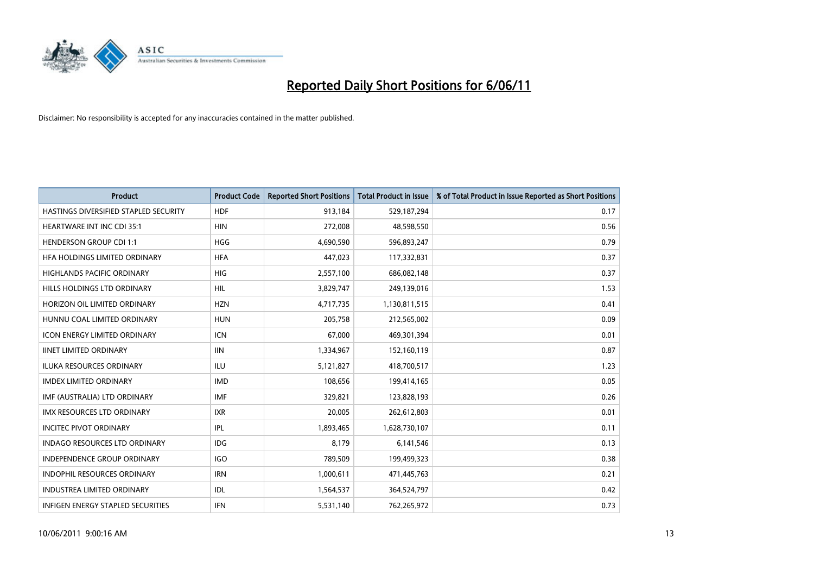

| <b>Product</b>                           | <b>Product Code</b> | <b>Reported Short Positions</b> | Total Product in Issue | % of Total Product in Issue Reported as Short Positions |
|------------------------------------------|---------------------|---------------------------------|------------------------|---------------------------------------------------------|
| HASTINGS DIVERSIFIED STAPLED SECURITY    | <b>HDF</b>          | 913,184                         | 529,187,294            | 0.17                                                    |
| <b>HEARTWARE INT INC CDI 35:1</b>        | <b>HIN</b>          | 272,008                         | 48,598,550             | 0.56                                                    |
| <b>HENDERSON GROUP CDI 1:1</b>           | <b>HGG</b>          | 4,690,590                       | 596,893,247            | 0.79                                                    |
| HFA HOLDINGS LIMITED ORDINARY            | <b>HFA</b>          | 447,023                         | 117,332,831            | 0.37                                                    |
| <b>HIGHLANDS PACIFIC ORDINARY</b>        | <b>HIG</b>          | 2,557,100                       | 686,082,148            | 0.37                                                    |
| HILLS HOLDINGS LTD ORDINARY              | <b>HIL</b>          | 3,829,747                       | 249,139,016            | 1.53                                                    |
| HORIZON OIL LIMITED ORDINARY             | <b>HZN</b>          | 4,717,735                       | 1,130,811,515          | 0.41                                                    |
| HUNNU COAL LIMITED ORDINARY              | <b>HUN</b>          | 205,758                         | 212,565,002            | 0.09                                                    |
| ICON ENERGY LIMITED ORDINARY             | <b>ICN</b>          | 67,000                          | 469,301,394            | 0.01                                                    |
| <b>IINET LIMITED ORDINARY</b>            | <b>IIN</b>          | 1,334,967                       | 152,160,119            | 0.87                                                    |
| ILUKA RESOURCES ORDINARY                 | <b>ILU</b>          | 5,121,827                       | 418,700,517            | 1.23                                                    |
| <b>IMDEX LIMITED ORDINARY</b>            | <b>IMD</b>          | 108,656                         | 199,414,165            | 0.05                                                    |
| IMF (AUSTRALIA) LTD ORDINARY             | <b>IMF</b>          | 329,821                         | 123,828,193            | 0.26                                                    |
| <b>IMX RESOURCES LTD ORDINARY</b>        | <b>IXR</b>          | 20,005                          | 262,612,803            | 0.01                                                    |
| <b>INCITEC PIVOT ORDINARY</b>            | IPL                 | 1,893,465                       | 1,628,730,107          | 0.11                                                    |
| <b>INDAGO RESOURCES LTD ORDINARY</b>     | <b>IDG</b>          | 8,179                           | 6,141,546              | 0.13                                                    |
| <b>INDEPENDENCE GROUP ORDINARY</b>       | <b>IGO</b>          | 789,509                         | 199,499,323            | 0.38                                                    |
| INDOPHIL RESOURCES ORDINARY              | <b>IRN</b>          | 1,000,611                       | 471,445,763            | 0.21                                                    |
| <b>INDUSTREA LIMITED ORDINARY</b>        | IDL                 | 1,564,537                       | 364,524,797            | 0.42                                                    |
| <b>INFIGEN ENERGY STAPLED SECURITIES</b> | <b>IFN</b>          | 5,531,140                       | 762,265,972            | 0.73                                                    |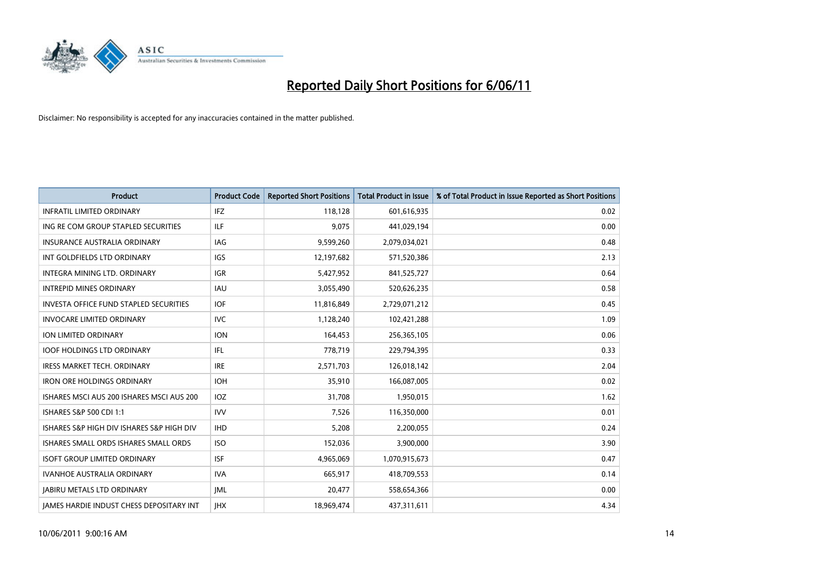

| <b>Product</b>                                  | <b>Product Code</b> | <b>Reported Short Positions</b> | Total Product in Issue | % of Total Product in Issue Reported as Short Positions |
|-------------------------------------------------|---------------------|---------------------------------|------------------------|---------------------------------------------------------|
| <b>INFRATIL LIMITED ORDINARY</b>                | IFZ                 | 118,128                         | 601,616,935            | 0.02                                                    |
| ING RE COM GROUP STAPLED SECURITIES             | <b>ILF</b>          | 9,075                           | 441,029,194            | 0.00                                                    |
| <b>INSURANCE AUSTRALIA ORDINARY</b>             | <b>IAG</b>          | 9,599,260                       | 2,079,034,021          | 0.48                                                    |
| INT GOLDFIELDS LTD ORDINARY                     | <b>IGS</b>          | 12,197,682                      | 571,520,386            | 2.13                                                    |
| INTEGRA MINING LTD. ORDINARY                    | <b>IGR</b>          | 5,427,952                       | 841,525,727            | 0.64                                                    |
| <b>INTREPID MINES ORDINARY</b>                  | <b>IAU</b>          | 3,055,490                       | 520,626,235            | 0.58                                                    |
| <b>INVESTA OFFICE FUND STAPLED SECURITIES</b>   | <b>IOF</b>          | 11,816,849                      | 2,729,071,212          | 0.45                                                    |
| <b>INVOCARE LIMITED ORDINARY</b>                | <b>IVC</b>          | 1,128,240                       | 102,421,288            | 1.09                                                    |
| ION LIMITED ORDINARY                            | <b>ION</b>          | 164,453                         | 256,365,105            | 0.06                                                    |
| <b>IOOF HOLDINGS LTD ORDINARY</b>               | IFL.                | 778,719                         | 229,794,395            | 0.33                                                    |
| IRESS MARKET TECH. ORDINARY                     | <b>IRE</b>          | 2,571,703                       | 126,018,142            | 2.04                                                    |
| <b>IRON ORE HOLDINGS ORDINARY</b>               | <b>IOH</b>          | 35,910                          | 166,087,005            | 0.02                                                    |
| ISHARES MSCI AUS 200 ISHARES MSCI AUS 200       | <b>IOZ</b>          | 31,708                          | 1,950,015              | 1.62                                                    |
| ISHARES S&P 500 CDI 1:1                         | <b>IVV</b>          | 7,526                           | 116,350,000            | 0.01                                                    |
| ISHARES S&P HIGH DIV ISHARES S&P HIGH DIV       | <b>IHD</b>          | 5,208                           | 2,200,055              | 0.24                                                    |
| ISHARES SMALL ORDS ISHARES SMALL ORDS           | <b>ISO</b>          | 152,036                         | 3,900,000              | 3.90                                                    |
| <b>ISOFT GROUP LIMITED ORDINARY</b>             | <b>ISF</b>          | 4,965,069                       | 1,070,915,673          | 0.47                                                    |
| <b>IVANHOE AUSTRALIA ORDINARY</b>               | <b>IVA</b>          | 665,917                         | 418,709,553            | 0.14                                                    |
| <b>IABIRU METALS LTD ORDINARY</b>               | IML                 | 20,477                          | 558,654,366            | 0.00                                                    |
| <b>IAMES HARDIE INDUST CHESS DEPOSITARY INT</b> | <b>JHX</b>          | 18.969.474                      | 437,311,611            | 4.34                                                    |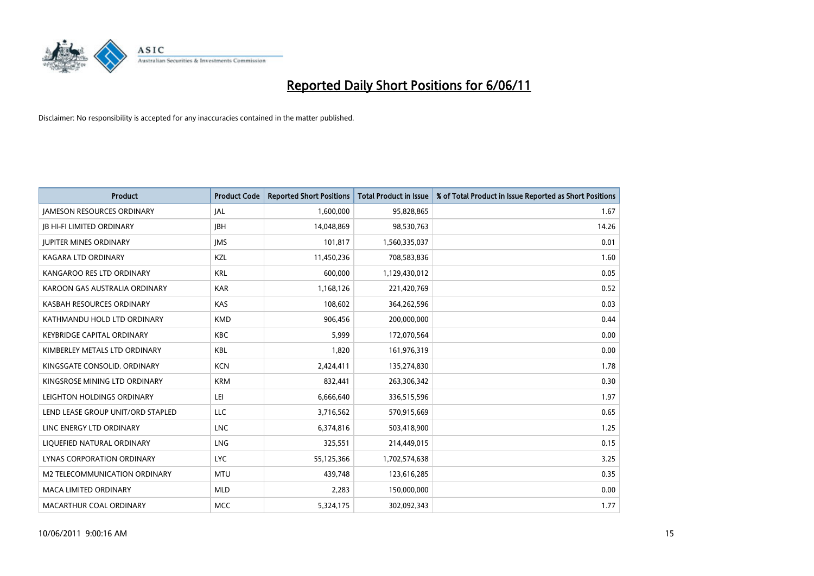

| <b>Product</b>                    | <b>Product Code</b> | <b>Reported Short Positions</b> | Total Product in Issue | % of Total Product in Issue Reported as Short Positions |
|-----------------------------------|---------------------|---------------------------------|------------------------|---------------------------------------------------------|
| <b>JAMESON RESOURCES ORDINARY</b> | JAL                 | 1,600,000                       | 95,828,865             | 1.67                                                    |
| <b>IB HI-FI LIMITED ORDINARY</b>  | <b>IBH</b>          | 14,048,869                      | 98,530,763             | 14.26                                                   |
| <b>JUPITER MINES ORDINARY</b>     | <b>IMS</b>          | 101,817                         | 1,560,335,037          | 0.01                                                    |
| KAGARA LTD ORDINARY               | KZL                 | 11,450,236                      | 708,583,836            | 1.60                                                    |
| KANGAROO RES LTD ORDINARY         | <b>KRL</b>          | 600,000                         | 1,129,430,012          | 0.05                                                    |
| KAROON GAS AUSTRALIA ORDINARY     | <b>KAR</b>          | 1,168,126                       | 221,420,769            | 0.52                                                    |
| KASBAH RESOURCES ORDINARY         | <b>KAS</b>          | 108,602                         | 364,262,596            | 0.03                                                    |
| KATHMANDU HOLD LTD ORDINARY       | <b>KMD</b>          | 906,456                         | 200,000,000            | 0.44                                                    |
| KEYBRIDGE CAPITAL ORDINARY        | <b>KBC</b>          | 5,999                           | 172,070,564            | 0.00                                                    |
| KIMBERLEY METALS LTD ORDINARY     | <b>KBL</b>          | 1,820                           | 161,976,319            | 0.00                                                    |
| KINGSGATE CONSOLID. ORDINARY      | <b>KCN</b>          | 2,424,411                       | 135,274,830            | 1.78                                                    |
| KINGSROSE MINING LTD ORDINARY     | <b>KRM</b>          | 832,441                         | 263,306,342            | 0.30                                                    |
| LEIGHTON HOLDINGS ORDINARY        | LEI                 | 6,666,640                       | 336,515,596            | 1.97                                                    |
| LEND LEASE GROUP UNIT/ORD STAPLED | LLC                 | 3,716,562                       | 570,915,669            | 0.65                                                    |
| LINC ENERGY LTD ORDINARY          | <b>LNC</b>          | 6,374,816                       | 503,418,900            | 1.25                                                    |
| LIQUEFIED NATURAL ORDINARY        | LNG                 | 325,551                         | 214,449,015            | 0.15                                                    |
| <b>LYNAS CORPORATION ORDINARY</b> | LYC.                | 55,125,366                      | 1,702,574,638          | 3.25                                                    |
| M2 TELECOMMUNICATION ORDINARY     | <b>MTU</b>          | 439,748                         | 123,616,285            | 0.35                                                    |
| <b>MACA LIMITED ORDINARY</b>      | <b>MLD</b>          | 2,283                           | 150,000,000            | 0.00                                                    |
| MACARTHUR COAL ORDINARY           | <b>MCC</b>          | 5,324,175                       | 302,092,343            | 1.77                                                    |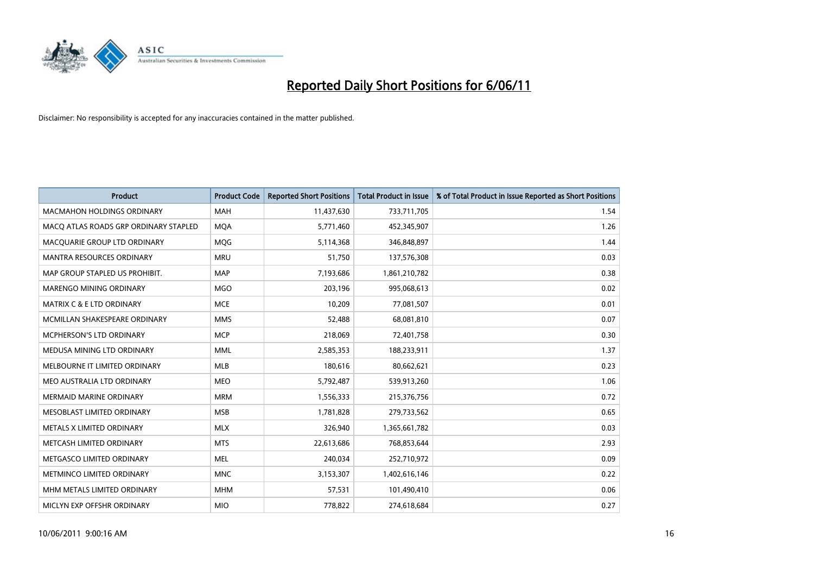

| <b>Product</b>                        | <b>Product Code</b> | <b>Reported Short Positions</b> | <b>Total Product in Issue</b> | % of Total Product in Issue Reported as Short Positions |
|---------------------------------------|---------------------|---------------------------------|-------------------------------|---------------------------------------------------------|
| <b>MACMAHON HOLDINGS ORDINARY</b>     | <b>MAH</b>          | 11,437,630                      | 733,711,705                   | 1.54                                                    |
| MACO ATLAS ROADS GRP ORDINARY STAPLED | <b>MQA</b>          | 5,771,460                       | 452,345,907                   | 1.26                                                    |
| MACQUARIE GROUP LTD ORDINARY          | <b>MOG</b>          | 5,114,368                       | 346,848,897                   | 1.44                                                    |
| <b>MANTRA RESOURCES ORDINARY</b>      | <b>MRU</b>          | 51,750                          | 137,576,308                   | 0.03                                                    |
| MAP GROUP STAPLED US PROHIBIT.        | <b>MAP</b>          | 7,193,686                       | 1,861,210,782                 | 0.38                                                    |
| <b>MARENGO MINING ORDINARY</b>        | <b>MGO</b>          | 203,196                         | 995,068,613                   | 0.02                                                    |
| MATRIX C & E LTD ORDINARY             | <b>MCE</b>          | 10,209                          | 77,081,507                    | 0.01                                                    |
| MCMILLAN SHAKESPEARE ORDINARY         | <b>MMS</b>          | 52,488                          | 68,081,810                    | 0.07                                                    |
| MCPHERSON'S LTD ORDINARY              | <b>MCP</b>          | 218,069                         | 72,401,758                    | 0.30                                                    |
| MEDUSA MINING LTD ORDINARY            | <b>MML</b>          | 2,585,353                       | 188,233,911                   | 1.37                                                    |
| MELBOURNE IT LIMITED ORDINARY         | <b>MLB</b>          | 180,616                         | 80,662,621                    | 0.23                                                    |
| MEO AUSTRALIA LTD ORDINARY            | <b>MEO</b>          | 5,792,487                       | 539,913,260                   | 1.06                                                    |
| <b>MERMAID MARINE ORDINARY</b>        | <b>MRM</b>          | 1,556,333                       | 215,376,756                   | 0.72                                                    |
| MESOBLAST LIMITED ORDINARY            | <b>MSB</b>          | 1,781,828                       | 279,733,562                   | 0.65                                                    |
| METALS X LIMITED ORDINARY             | <b>MLX</b>          | 326,940                         | 1,365,661,782                 | 0.03                                                    |
| METCASH LIMITED ORDINARY              | <b>MTS</b>          | 22,613,686                      | 768,853,644                   | 2.93                                                    |
| METGASCO LIMITED ORDINARY             | <b>MEL</b>          | 240,034                         | 252,710,972                   | 0.09                                                    |
| METMINCO LIMITED ORDINARY             | <b>MNC</b>          | 3,153,307                       | 1,402,616,146                 | 0.22                                                    |
| MHM METALS LIMITED ORDINARY           | <b>MHM</b>          | 57,531                          | 101,490,410                   | 0.06                                                    |
| MICLYN EXP OFFSHR ORDINARY            | <b>MIO</b>          | 778,822                         | 274,618,684                   | 0.27                                                    |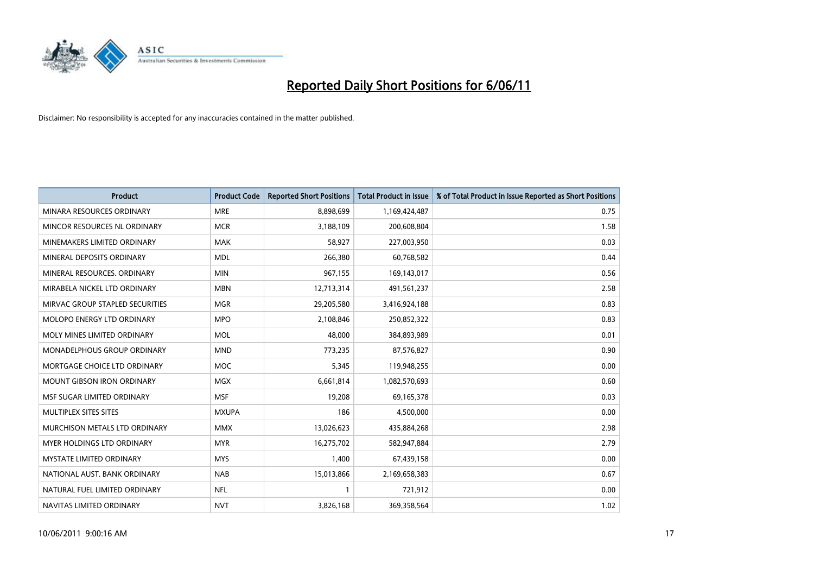

| <b>Product</b>                    | <b>Product Code</b> | <b>Reported Short Positions</b> | <b>Total Product in Issue</b> | % of Total Product in Issue Reported as Short Positions |
|-----------------------------------|---------------------|---------------------------------|-------------------------------|---------------------------------------------------------|
| MINARA RESOURCES ORDINARY         | <b>MRE</b>          | 8,898,699                       | 1,169,424,487                 | 0.75                                                    |
| MINCOR RESOURCES NL ORDINARY      | <b>MCR</b>          | 3,188,109                       | 200,608,804                   | 1.58                                                    |
| MINEMAKERS LIMITED ORDINARY       | <b>MAK</b>          | 58,927                          | 227,003,950                   | 0.03                                                    |
| MINERAL DEPOSITS ORDINARY         | <b>MDL</b>          | 266,380                         | 60,768,582                    | 0.44                                                    |
| MINERAL RESOURCES, ORDINARY       | <b>MIN</b>          | 967,155                         | 169,143,017                   | 0.56                                                    |
| MIRABELA NICKEL LTD ORDINARY      | <b>MBN</b>          | 12,713,314                      | 491,561,237                   | 2.58                                                    |
| MIRVAC GROUP STAPLED SECURITIES   | <b>MGR</b>          | 29,205,580                      | 3,416,924,188                 | 0.83                                                    |
| <b>MOLOPO ENERGY LTD ORDINARY</b> | <b>MPO</b>          | 2,108,846                       | 250,852,322                   | 0.83                                                    |
| MOLY MINES LIMITED ORDINARY       | <b>MOL</b>          | 48,000                          | 384,893,989                   | 0.01                                                    |
| MONADELPHOUS GROUP ORDINARY       | <b>MND</b>          | 773,235                         | 87,576,827                    | 0.90                                                    |
| MORTGAGE CHOICE LTD ORDINARY      | <b>MOC</b>          | 5,345                           | 119,948,255                   | 0.00                                                    |
| <b>MOUNT GIBSON IRON ORDINARY</b> | <b>MGX</b>          | 6,661,814                       | 1,082,570,693                 | 0.60                                                    |
| MSF SUGAR LIMITED ORDINARY        | <b>MSF</b>          | 19,208                          | 69,165,378                    | 0.03                                                    |
| MULTIPLEX SITES SITES             | <b>MXUPA</b>        | 186                             | 4,500,000                     | 0.00                                                    |
| MURCHISON METALS LTD ORDINARY     | <b>MMX</b>          | 13,026,623                      | 435,884,268                   | 2.98                                                    |
| MYER HOLDINGS LTD ORDINARY        | <b>MYR</b>          | 16,275,702                      | 582,947,884                   | 2.79                                                    |
| <b>MYSTATE LIMITED ORDINARY</b>   | <b>MYS</b>          | 1,400                           | 67,439,158                    | 0.00                                                    |
| NATIONAL AUST. BANK ORDINARY      | <b>NAB</b>          | 15,013,866                      | 2,169,658,383                 | 0.67                                                    |
| NATURAL FUEL LIMITED ORDINARY     | <b>NFL</b>          |                                 | 721,912                       | 0.00                                                    |
| NAVITAS LIMITED ORDINARY          | <b>NVT</b>          | 3,826,168                       | 369,358,564                   | 1.02                                                    |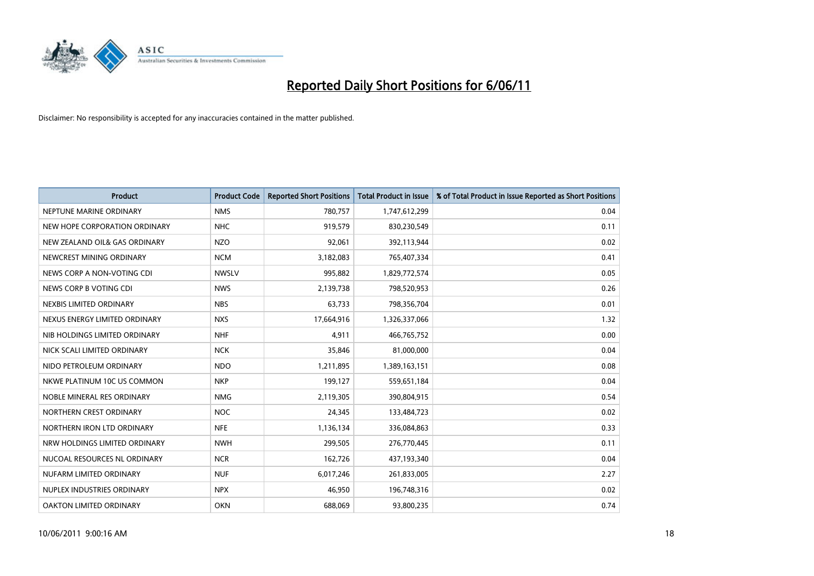

| <b>Product</b>                | <b>Product Code</b> | <b>Reported Short Positions</b> | <b>Total Product in Issue</b> | % of Total Product in Issue Reported as Short Positions |
|-------------------------------|---------------------|---------------------------------|-------------------------------|---------------------------------------------------------|
| NEPTUNE MARINE ORDINARY       | <b>NMS</b>          | 780,757                         | 1,747,612,299                 | 0.04                                                    |
| NEW HOPE CORPORATION ORDINARY | <b>NHC</b>          | 919,579                         | 830,230,549                   | 0.11                                                    |
| NEW ZEALAND OIL& GAS ORDINARY | <b>NZO</b>          | 92.061                          | 392,113,944                   | 0.02                                                    |
| NEWCREST MINING ORDINARY      | <b>NCM</b>          | 3,182,083                       | 765,407,334                   | 0.41                                                    |
| NEWS CORP A NON-VOTING CDI    | <b>NWSLV</b>        | 995,882                         | 1,829,772,574                 | 0.05                                                    |
| NEWS CORP B VOTING CDI        | <b>NWS</b>          | 2,139,738                       | 798,520,953                   | 0.26                                                    |
| NEXBIS LIMITED ORDINARY       | <b>NBS</b>          | 63,733                          | 798,356,704                   | 0.01                                                    |
| NEXUS ENERGY LIMITED ORDINARY | <b>NXS</b>          | 17,664,916                      | 1,326,337,066                 | 1.32                                                    |
| NIB HOLDINGS LIMITED ORDINARY | <b>NHF</b>          | 4,911                           | 466,765,752                   | 0.00                                                    |
| NICK SCALI LIMITED ORDINARY   | <b>NCK</b>          | 35,846                          | 81,000,000                    | 0.04                                                    |
| NIDO PETROLEUM ORDINARY       | <b>NDO</b>          | 1,211,895                       | 1,389,163,151                 | 0.08                                                    |
| NKWE PLATINUM 10C US COMMON   | <b>NKP</b>          | 199,127                         | 559,651,184                   | 0.04                                                    |
| NOBLE MINERAL RES ORDINARY    | <b>NMG</b>          | 2,119,305                       | 390,804,915                   | 0.54                                                    |
| NORTHERN CREST ORDINARY       | <b>NOC</b>          | 24,345                          | 133,484,723                   | 0.02                                                    |
| NORTHERN IRON LTD ORDINARY    | <b>NFE</b>          | 1,136,134                       | 336,084,863                   | 0.33                                                    |
| NRW HOLDINGS LIMITED ORDINARY | <b>NWH</b>          | 299,505                         | 276,770,445                   | 0.11                                                    |
| NUCOAL RESOURCES NL ORDINARY  | <b>NCR</b>          | 162,726                         | 437,193,340                   | 0.04                                                    |
| NUFARM LIMITED ORDINARY       | <b>NUF</b>          | 6,017,246                       | 261,833,005                   | 2.27                                                    |
| NUPLEX INDUSTRIES ORDINARY    | <b>NPX</b>          | 46,950                          | 196,748,316                   | 0.02                                                    |
| OAKTON LIMITED ORDINARY       | <b>OKN</b>          | 688,069                         | 93,800,235                    | 0.74                                                    |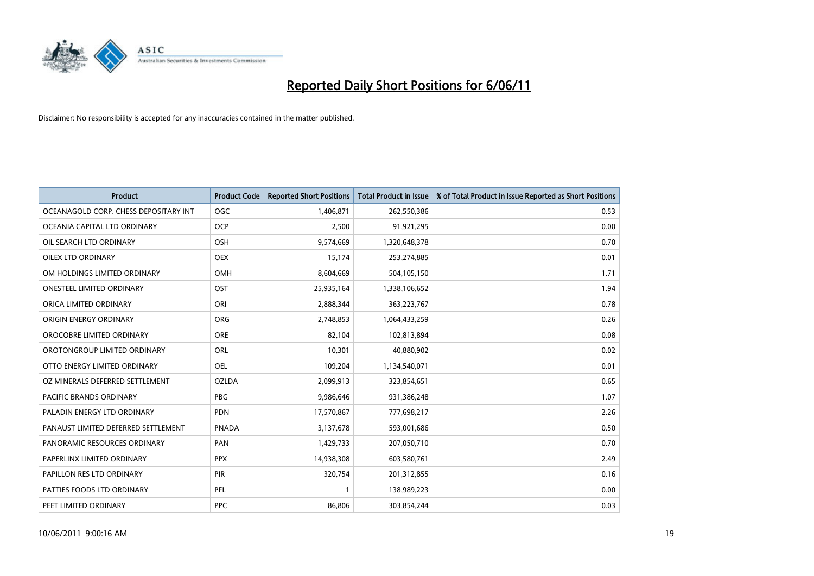

| <b>Product</b>                        | <b>Product Code</b> | <b>Reported Short Positions</b> | <b>Total Product in Issue</b> | % of Total Product in Issue Reported as Short Positions |
|---------------------------------------|---------------------|---------------------------------|-------------------------------|---------------------------------------------------------|
| OCEANAGOLD CORP. CHESS DEPOSITARY INT | <b>OGC</b>          | 1,406,871                       | 262,550,386                   | 0.53                                                    |
| OCEANIA CAPITAL LTD ORDINARY          | <b>OCP</b>          | 2,500                           | 91,921,295                    | 0.00                                                    |
| OIL SEARCH LTD ORDINARY               | <b>OSH</b>          | 9,574,669                       | 1,320,648,378                 | 0.70                                                    |
| OILEX LTD ORDINARY                    | <b>OEX</b>          | 15,174                          | 253,274,885                   | 0.01                                                    |
| OM HOLDINGS LIMITED ORDINARY          | OMH                 | 8,604,669                       | 504,105,150                   | 1.71                                                    |
| <b>ONESTEEL LIMITED ORDINARY</b>      | OST                 | 25,935,164                      | 1,338,106,652                 | 1.94                                                    |
| ORICA LIMITED ORDINARY                | ORI                 | 2,888,344                       | 363,223,767                   | 0.78                                                    |
| ORIGIN ENERGY ORDINARY                | ORG                 | 2,748,853                       | 1,064,433,259                 | 0.26                                                    |
| OROCOBRE LIMITED ORDINARY             | <b>ORE</b>          | 82,104                          | 102,813,894                   | 0.08                                                    |
| OROTONGROUP LIMITED ORDINARY          | <b>ORL</b>          | 10,301                          | 40,880,902                    | 0.02                                                    |
| OTTO ENERGY LIMITED ORDINARY          | <b>OEL</b>          | 109,204                         | 1,134,540,071                 | 0.01                                                    |
| OZ MINERALS DEFERRED SETTLEMENT       | <b>OZLDA</b>        | 2,099,913                       | 323,854,651                   | 0.65                                                    |
| <b>PACIFIC BRANDS ORDINARY</b>        | <b>PBG</b>          | 9,986,646                       | 931,386,248                   | 1.07                                                    |
| PALADIN ENERGY LTD ORDINARY           | <b>PDN</b>          | 17,570,867                      | 777,698,217                   | 2.26                                                    |
| PANAUST LIMITED DEFERRED SETTLEMENT   | <b>PNADA</b>        | 3,137,678                       | 593,001,686                   | 0.50                                                    |
| PANORAMIC RESOURCES ORDINARY          | PAN                 | 1,429,733                       | 207,050,710                   | 0.70                                                    |
| PAPERLINX LIMITED ORDINARY            | <b>PPX</b>          | 14,938,308                      | 603,580,761                   | 2.49                                                    |
| <b>PAPILLON RES LTD ORDINARY</b>      | <b>PIR</b>          | 320,754                         | 201,312,855                   | 0.16                                                    |
| PATTIES FOODS LTD ORDINARY            | PFL                 |                                 | 138,989,223                   | 0.00                                                    |
| PEET LIMITED ORDINARY                 | PPC                 | 86,806                          | 303,854,244                   | 0.03                                                    |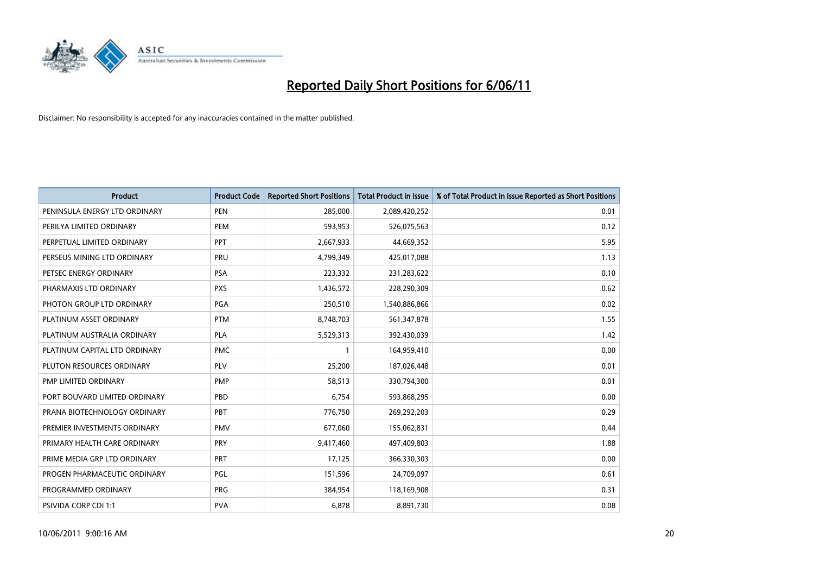

| <b>Product</b>                | <b>Product Code</b> | <b>Reported Short Positions</b> | <b>Total Product in Issue</b> | % of Total Product in Issue Reported as Short Positions |
|-------------------------------|---------------------|---------------------------------|-------------------------------|---------------------------------------------------------|
| PENINSULA ENERGY LTD ORDINARY | <b>PEN</b>          | 285,000                         | 2,089,420,252                 | 0.01                                                    |
| PERILYA LIMITED ORDINARY      | PEM                 | 593,953                         | 526,075,563                   | 0.12                                                    |
| PERPETUAL LIMITED ORDINARY    | PPT                 | 2,667,933                       | 44,669,352                    | 5.95                                                    |
| PERSEUS MINING LTD ORDINARY   | PRU                 | 4,799,349                       | 425,017,088                   | 1.13                                                    |
| PETSEC ENERGY ORDINARY        | <b>PSA</b>          | 223,332                         | 231,283,622                   | 0.10                                                    |
| PHARMAXIS LTD ORDINARY        | <b>PXS</b>          | 1,436,572                       | 228,290,309                   | 0.62                                                    |
| PHOTON GROUP LTD ORDINARY     | PGA                 | 250,510                         | 1,540,886,866                 | 0.02                                                    |
| PLATINUM ASSET ORDINARY       | <b>PTM</b>          | 8,748,703                       | 561,347,878                   | 1.55                                                    |
| PLATINUM AUSTRALIA ORDINARY   | <b>PLA</b>          | 5,529,313                       | 392,430,039                   | 1.42                                                    |
| PLATINUM CAPITAL LTD ORDINARY | <b>PMC</b>          |                                 | 164,959,410                   | 0.00                                                    |
| PLUTON RESOURCES ORDINARY     | <b>PLV</b>          | 25,200                          | 187,026,448                   | 0.01                                                    |
| PMP LIMITED ORDINARY          | <b>PMP</b>          | 58,513                          | 330,794,300                   | 0.01                                                    |
| PORT BOUVARD LIMITED ORDINARY | PBD                 | 6,754                           | 593,868,295                   | 0.00                                                    |
| PRANA BIOTECHNOLOGY ORDINARY  | PBT                 | 776,750                         | 269,292,203                   | 0.29                                                    |
| PREMIER INVESTMENTS ORDINARY  | <b>PMV</b>          | 677,060                         | 155,062,831                   | 0.44                                                    |
| PRIMARY HEALTH CARE ORDINARY  | <b>PRY</b>          | 9,417,460                       | 497,409,803                   | 1.88                                                    |
| PRIME MEDIA GRP LTD ORDINARY  | PRT                 | 17,125                          | 366,330,303                   | 0.00                                                    |
| PROGEN PHARMACEUTIC ORDINARY  | <b>PGL</b>          | 151,596                         | 24,709,097                    | 0.61                                                    |
| PROGRAMMED ORDINARY           | <b>PRG</b>          | 384,954                         | 118,169,908                   | 0.31                                                    |
| PSIVIDA CORP CDI 1:1          | <b>PVA</b>          | 6,878                           | 8,891,730                     | 0.08                                                    |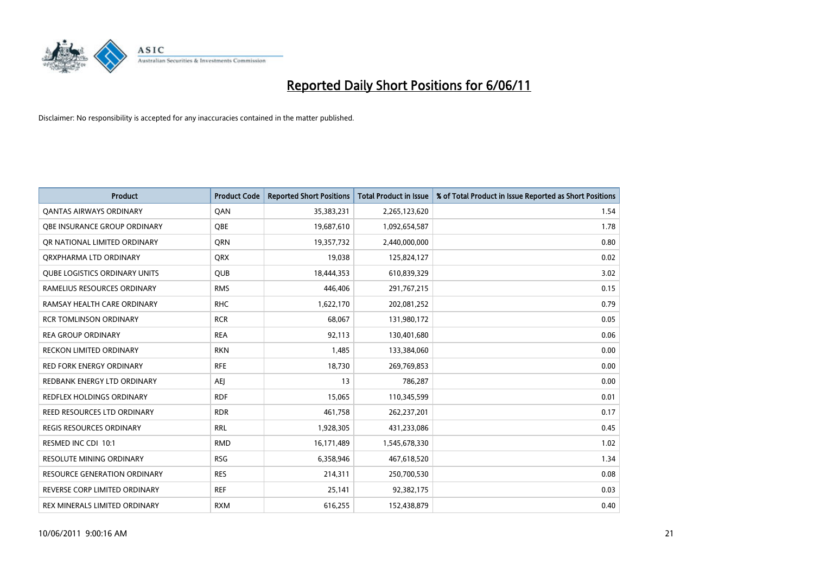

| <b>Product</b>                       | <b>Product Code</b> | <b>Reported Short Positions</b> | <b>Total Product in Issue</b> | % of Total Product in Issue Reported as Short Positions |
|--------------------------------------|---------------------|---------------------------------|-------------------------------|---------------------------------------------------------|
| <b>QANTAS AIRWAYS ORDINARY</b>       | QAN                 | 35,383,231                      | 2,265,123,620                 | 1.54                                                    |
| <b>OBE INSURANCE GROUP ORDINARY</b>  | OBE                 | 19,687,610                      | 1,092,654,587                 | 1.78                                                    |
| OR NATIONAL LIMITED ORDINARY         | <b>ORN</b>          | 19,357,732                      | 2,440,000,000                 | 0.80                                                    |
| ORXPHARMA LTD ORDINARY               | <b>ORX</b>          | 19,038                          | 125,824,127                   | 0.02                                                    |
| <b>QUBE LOGISTICS ORDINARY UNITS</b> | <b>QUB</b>          | 18,444,353                      | 610,839,329                   | 3.02                                                    |
| RAMELIUS RESOURCES ORDINARY          | <b>RMS</b>          | 446.406                         | 291,767,215                   | 0.15                                                    |
| RAMSAY HEALTH CARE ORDINARY          | <b>RHC</b>          | 1,622,170                       | 202,081,252                   | 0.79                                                    |
| <b>RCR TOMLINSON ORDINARY</b>        | <b>RCR</b>          | 68,067                          | 131,980,172                   | 0.05                                                    |
| <b>REA GROUP ORDINARY</b>            | <b>REA</b>          | 92,113                          | 130,401,680                   | 0.06                                                    |
| <b>RECKON LIMITED ORDINARY</b>       | <b>RKN</b>          | 1,485                           | 133,384,060                   | 0.00                                                    |
| <b>RED FORK ENERGY ORDINARY</b>      | <b>RFE</b>          | 18,730                          | 269,769,853                   | 0.00                                                    |
| REDBANK ENERGY LTD ORDINARY          | <b>AEI</b>          | 13                              | 786,287                       | 0.00                                                    |
| REDFLEX HOLDINGS ORDINARY            | <b>RDF</b>          | 15,065                          | 110,345,599                   | 0.01                                                    |
| REED RESOURCES LTD ORDINARY          | <b>RDR</b>          | 461,758                         | 262,237,201                   | 0.17                                                    |
| <b>REGIS RESOURCES ORDINARY</b>      | <b>RRL</b>          | 1,928,305                       | 431,233,086                   | 0.45                                                    |
| RESMED INC CDI 10:1                  | <b>RMD</b>          | 16,171,489                      | 1,545,678,330                 | 1.02                                                    |
| <b>RESOLUTE MINING ORDINARY</b>      | <b>RSG</b>          | 6,358,946                       | 467,618,520                   | 1.34                                                    |
| RESOURCE GENERATION ORDINARY         | <b>RES</b>          | 214,311                         | 250,700,530                   | 0.08                                                    |
| REVERSE CORP LIMITED ORDINARY        | <b>REF</b>          | 25,141                          | 92,382,175                    | 0.03                                                    |
| REX MINERALS LIMITED ORDINARY        | <b>RXM</b>          | 616,255                         | 152,438,879                   | 0.40                                                    |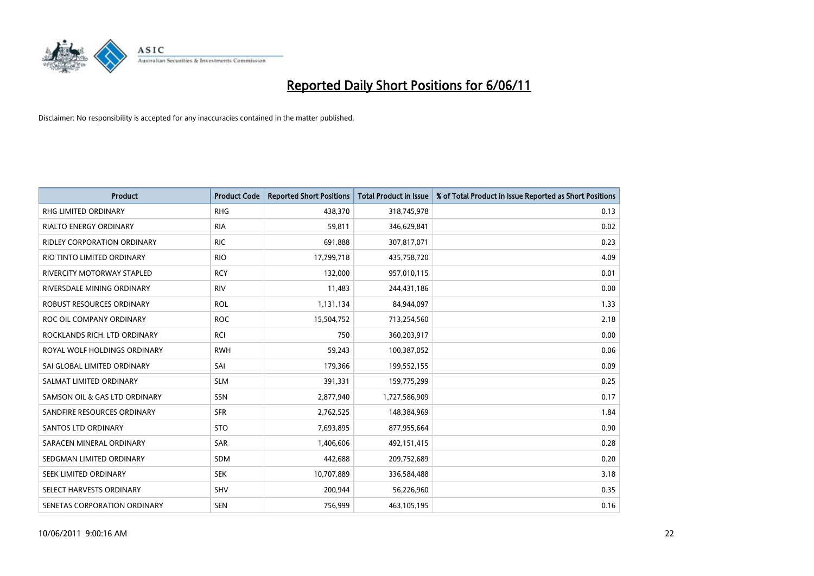

| <b>Product</b>                     | <b>Product Code</b> | <b>Reported Short Positions</b> | Total Product in Issue | % of Total Product in Issue Reported as Short Positions |
|------------------------------------|---------------------|---------------------------------|------------------------|---------------------------------------------------------|
| <b>RHG LIMITED ORDINARY</b>        | <b>RHG</b>          | 438,370                         | 318,745,978            | 0.13                                                    |
| RIALTO ENERGY ORDINARY             | <b>RIA</b>          | 59,811                          | 346,629,841            | 0.02                                                    |
| <b>RIDLEY CORPORATION ORDINARY</b> | <b>RIC</b>          | 691,888                         | 307,817,071            | 0.23                                                    |
| RIO TINTO LIMITED ORDINARY         | <b>RIO</b>          | 17,799,718                      | 435,758,720            | 4.09                                                    |
| <b>RIVERCITY MOTORWAY STAPLED</b>  | <b>RCY</b>          | 132,000                         | 957,010,115            | 0.01                                                    |
| RIVERSDALE MINING ORDINARY         | <b>RIV</b>          | 11,483                          | 244,431,186            | 0.00                                                    |
| ROBUST RESOURCES ORDINARY          | <b>ROL</b>          | 1,131,134                       | 84,944,097             | 1.33                                                    |
| ROC OIL COMPANY ORDINARY           | <b>ROC</b>          | 15,504,752                      | 713,254,560            | 2.18                                                    |
| ROCKLANDS RICH. LTD ORDINARY       | RCI                 | 750                             | 360,203,917            | 0.00                                                    |
| ROYAL WOLF HOLDINGS ORDINARY       | <b>RWH</b>          | 59,243                          | 100,387,052            | 0.06                                                    |
| SAI GLOBAL LIMITED ORDINARY        | SAI                 | 179,366                         | 199,552,155            | 0.09                                                    |
| SALMAT LIMITED ORDINARY            | <b>SLM</b>          | 391,331                         | 159,775,299            | 0.25                                                    |
| SAMSON OIL & GAS LTD ORDINARY      | SSN                 | 2,877,940                       | 1,727,586,909          | 0.17                                                    |
| SANDFIRE RESOURCES ORDINARY        | <b>SFR</b>          | 2,762,525                       | 148,384,969            | 1.84                                                    |
| SANTOS LTD ORDINARY                | <b>STO</b>          | 7,693,895                       | 877,955,664            | 0.90                                                    |
| SARACEN MINERAL ORDINARY           | SAR                 | 1,406,606                       | 492,151,415            | 0.28                                                    |
| SEDGMAN LIMITED ORDINARY           | <b>SDM</b>          | 442,688                         | 209,752,689            | 0.20                                                    |
| SEEK LIMITED ORDINARY              | <b>SEK</b>          | 10,707,889                      | 336,584,488            | 3.18                                                    |
| SELECT HARVESTS ORDINARY           | SHV                 | 200,944                         | 56,226,960             | 0.35                                                    |
| SENETAS CORPORATION ORDINARY       | <b>SEN</b>          | 756,999                         | 463,105,195            | 0.16                                                    |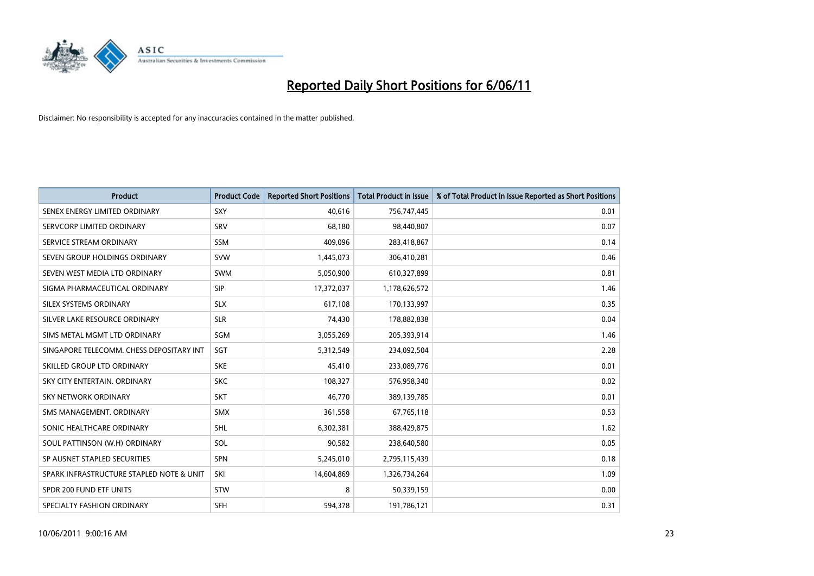

| <b>Product</b>                           | <b>Product Code</b> | <b>Reported Short Positions</b> | <b>Total Product in Issue</b> | % of Total Product in Issue Reported as Short Positions |
|------------------------------------------|---------------------|---------------------------------|-------------------------------|---------------------------------------------------------|
| SENEX ENERGY LIMITED ORDINARY            | SXY                 | 40,616                          | 756,747,445                   | 0.01                                                    |
| SERVCORP LIMITED ORDINARY                | SRV                 | 68,180                          | 98,440,807                    | 0.07                                                    |
| SERVICE STREAM ORDINARY                  | <b>SSM</b>          | 409.096                         | 283,418,867                   | 0.14                                                    |
| SEVEN GROUP HOLDINGS ORDINARY            | <b>SVW</b>          | 1,445,073                       | 306,410,281                   | 0.46                                                    |
| SEVEN WEST MEDIA LTD ORDINARY            | <b>SWM</b>          | 5,050,900                       | 610,327,899                   | 0.81                                                    |
| SIGMA PHARMACEUTICAL ORDINARY            | <b>SIP</b>          | 17,372,037                      | 1,178,626,572                 | 1.46                                                    |
| SILEX SYSTEMS ORDINARY                   | <b>SLX</b>          | 617,108                         | 170,133,997                   | 0.35                                                    |
| SILVER LAKE RESOURCE ORDINARY            | <b>SLR</b>          | 74,430                          | 178,882,838                   | 0.04                                                    |
| SIMS METAL MGMT LTD ORDINARY             | <b>SGM</b>          | 3,055,269                       | 205,393,914                   | 1.46                                                    |
| SINGAPORE TELECOMM. CHESS DEPOSITARY INT | SGT                 | 5,312,549                       | 234,092,504                   | 2.28                                                    |
| SKILLED GROUP LTD ORDINARY               | <b>SKE</b>          | 45,410                          | 233,089,776                   | 0.01                                                    |
| SKY CITY ENTERTAIN, ORDINARY             | <b>SKC</b>          | 108,327                         | 576,958,340                   | 0.02                                                    |
| SKY NETWORK ORDINARY                     | SKT                 | 46,770                          | 389,139,785                   | 0.01                                                    |
| SMS MANAGEMENT, ORDINARY                 | SMX                 | 361,558                         | 67,765,118                    | 0.53                                                    |
| SONIC HEALTHCARE ORDINARY                | <b>SHL</b>          | 6,302,381                       | 388,429,875                   | 1.62                                                    |
| SOUL PATTINSON (W.H) ORDINARY            | SOL                 | 90,582                          | 238,640,580                   | 0.05                                                    |
| SP AUSNET STAPLED SECURITIES             | SPN                 | 5,245,010                       | 2,795,115,439                 | 0.18                                                    |
| SPARK INFRASTRUCTURE STAPLED NOTE & UNIT | SKI                 | 14,604,869                      | 1,326,734,264                 | 1.09                                                    |
| SPDR 200 FUND ETF UNITS                  | <b>STW</b>          | 8                               | 50,339,159                    | 0.00                                                    |
| SPECIALTY FASHION ORDINARY               | <b>SFH</b>          | 594,378                         | 191,786,121                   | 0.31                                                    |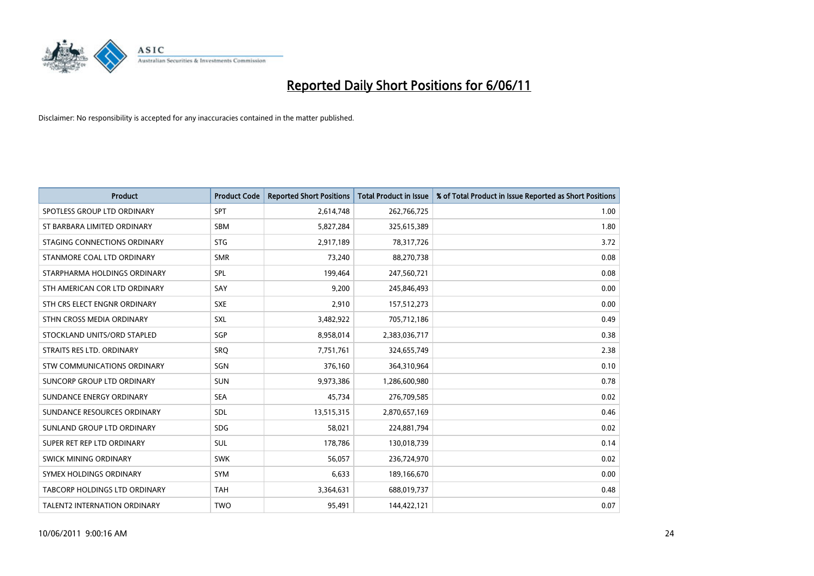

| <b>Product</b>                     | <b>Product Code</b> | <b>Reported Short Positions</b> | <b>Total Product in Issue</b> | % of Total Product in Issue Reported as Short Positions |
|------------------------------------|---------------------|---------------------------------|-------------------------------|---------------------------------------------------------|
| SPOTLESS GROUP LTD ORDINARY        | <b>SPT</b>          | 2,614,748                       | 262,766,725                   | 1.00                                                    |
| ST BARBARA LIMITED ORDINARY        | <b>SBM</b>          | 5,827,284                       | 325,615,389                   | 1.80                                                    |
| STAGING CONNECTIONS ORDINARY       | <b>STG</b>          | 2,917,189                       | 78,317,726                    | 3.72                                                    |
| STANMORE COAL LTD ORDINARY         | <b>SMR</b>          | 73,240                          | 88,270,738                    | 0.08                                                    |
| STARPHARMA HOLDINGS ORDINARY       | <b>SPL</b>          | 199,464                         | 247,560,721                   | 0.08                                                    |
| STH AMERICAN COR LTD ORDINARY      | SAY                 | 9,200                           | 245,846,493                   | 0.00                                                    |
| STH CRS ELECT ENGNR ORDINARY       | <b>SXE</b>          | 2,910                           | 157,512,273                   | 0.00                                                    |
| STHN CROSS MEDIA ORDINARY          | <b>SXL</b>          | 3,482,922                       | 705,712,186                   | 0.49                                                    |
| STOCKLAND UNITS/ORD STAPLED        | <b>SGP</b>          | 8,958,014                       | 2,383,036,717                 | 0.38                                                    |
| STRAITS RES LTD. ORDINARY          | <b>SRO</b>          | 7,751,761                       | 324,655,749                   | 2.38                                                    |
| <b>STW COMMUNICATIONS ORDINARY</b> | SGN                 | 376,160                         | 364,310,964                   | 0.10                                                    |
| SUNCORP GROUP LTD ORDINARY         | <b>SUN</b>          | 9,973,386                       | 1,286,600,980                 | 0.78                                                    |
| SUNDANCE ENERGY ORDINARY           | <b>SEA</b>          | 45,734                          | 276,709,585                   | 0.02                                                    |
| SUNDANCE RESOURCES ORDINARY        | SDL                 | 13,515,315                      | 2,870,657,169                 | 0.46                                                    |
| SUNLAND GROUP LTD ORDINARY         | <b>SDG</b>          | 58.021                          | 224,881,794                   | 0.02                                                    |
| SUPER RET REP LTD ORDINARY         | <b>SUL</b>          | 178,786                         | 130,018,739                   | 0.14                                                    |
| SWICK MINING ORDINARY              | <b>SWK</b>          | 56,057                          | 236,724,970                   | 0.02                                                    |
| SYMEX HOLDINGS ORDINARY            | <b>SYM</b>          | 6,633                           | 189,166,670                   | 0.00                                                    |
| TABCORP HOLDINGS LTD ORDINARY      | <b>TAH</b>          | 3,364,631                       | 688,019,737                   | 0.48                                                    |
| TALENT2 INTERNATION ORDINARY       | <b>TWO</b>          | 95,491                          | 144,422,121                   | 0.07                                                    |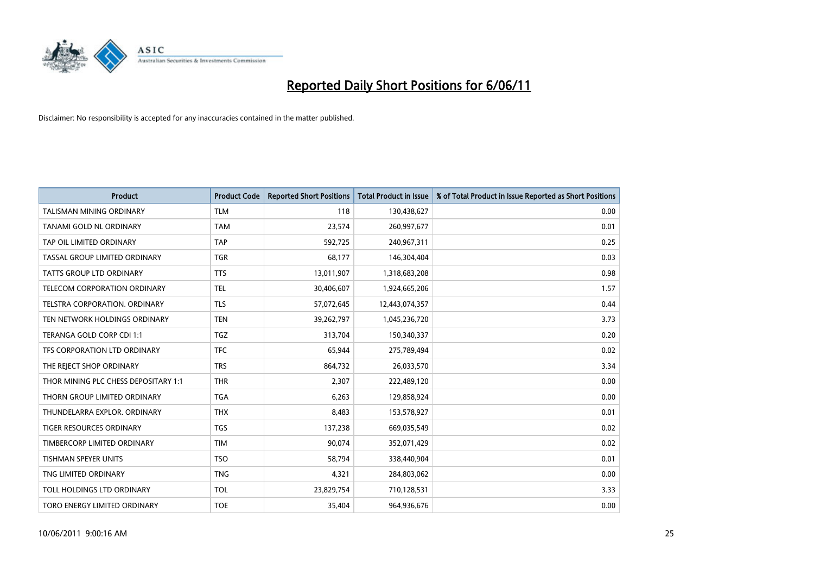

| <b>Product</b>                       | <b>Product Code</b> | <b>Reported Short Positions</b> | <b>Total Product in Issue</b> | % of Total Product in Issue Reported as Short Positions |
|--------------------------------------|---------------------|---------------------------------|-------------------------------|---------------------------------------------------------|
| <b>TALISMAN MINING ORDINARY</b>      | <b>TLM</b>          | 118                             | 130,438,627                   | 0.00                                                    |
| TANAMI GOLD NL ORDINARY              | <b>TAM</b>          | 23,574                          | 260,997,677                   | 0.01                                                    |
| TAP OIL LIMITED ORDINARY             | <b>TAP</b>          | 592,725                         | 240,967,311                   | 0.25                                                    |
| TASSAL GROUP LIMITED ORDINARY        | <b>TGR</b>          | 68,177                          | 146,304,404                   | 0.03                                                    |
| <b>TATTS GROUP LTD ORDINARY</b>      | <b>TTS</b>          | 13,011,907                      | 1,318,683,208                 | 0.98                                                    |
| TELECOM CORPORATION ORDINARY         | <b>TEL</b>          | 30,406,607                      | 1,924,665,206                 | 1.57                                                    |
| TELSTRA CORPORATION. ORDINARY        | <b>TLS</b>          | 57,072,645                      | 12,443,074,357                | 0.44                                                    |
| TEN NETWORK HOLDINGS ORDINARY        | <b>TEN</b>          | 39,262,797                      | 1,045,236,720                 | 3.73                                                    |
| TERANGA GOLD CORP CDI 1:1            | <b>TGZ</b>          | 313,704                         | 150,340,337                   | 0.20                                                    |
| TFS CORPORATION LTD ORDINARY         | <b>TFC</b>          | 65,944                          | 275,789,494                   | 0.02                                                    |
| THE REJECT SHOP ORDINARY             | <b>TRS</b>          | 864,732                         | 26,033,570                    | 3.34                                                    |
| THOR MINING PLC CHESS DEPOSITARY 1:1 | <b>THR</b>          | 2,307                           | 222,489,120                   | 0.00                                                    |
| THORN GROUP LIMITED ORDINARY         | <b>TGA</b>          | 6,263                           | 129,858,924                   | 0.00                                                    |
| THUNDELARRA EXPLOR. ORDINARY         | <b>THX</b>          | 8,483                           | 153,578,927                   | 0.01                                                    |
| <b>TIGER RESOURCES ORDINARY</b>      | <b>TGS</b>          | 137,238                         | 669,035,549                   | 0.02                                                    |
| TIMBERCORP LIMITED ORDINARY          | <b>TIM</b>          | 90,074                          | 352,071,429                   | 0.02                                                    |
| TISHMAN SPEYER UNITS                 | <b>TSO</b>          | 58,794                          | 338,440,904                   | 0.01                                                    |
| TNG LIMITED ORDINARY                 | <b>TNG</b>          | 4,321                           | 284,803,062                   | 0.00                                                    |
| TOLL HOLDINGS LTD ORDINARY           | <b>TOL</b>          | 23,829,754                      | 710,128,531                   | 3.33                                                    |
| TORO ENERGY LIMITED ORDINARY         | <b>TOE</b>          | 35,404                          | 964,936,676                   | 0.00                                                    |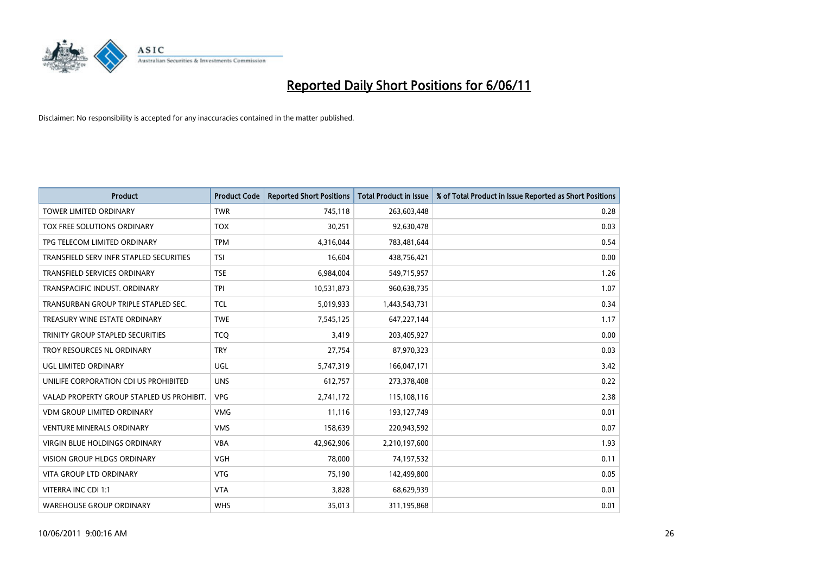

| <b>Product</b>                            | <b>Product Code</b> | <b>Reported Short Positions</b> | Total Product in Issue | % of Total Product in Issue Reported as Short Positions |
|-------------------------------------------|---------------------|---------------------------------|------------------------|---------------------------------------------------------|
| <b>TOWER LIMITED ORDINARY</b>             | <b>TWR</b>          | 745,118                         | 263,603,448            | 0.28                                                    |
| TOX FREE SOLUTIONS ORDINARY               | <b>TOX</b>          | 30,251                          | 92,630,478             | 0.03                                                    |
| TPG TELECOM LIMITED ORDINARY              | <b>TPM</b>          | 4,316,044                       | 783,481,644            | 0.54                                                    |
| TRANSFIELD SERV INFR STAPLED SECURITIES   | <b>TSI</b>          | 16,604                          | 438,756,421            | 0.00                                                    |
| <b>TRANSFIELD SERVICES ORDINARY</b>       | <b>TSE</b>          | 6,984,004                       | 549,715,957            | 1.26                                                    |
| TRANSPACIFIC INDUST, ORDINARY             | <b>TPI</b>          | 10,531,873                      | 960,638,735            | 1.07                                                    |
| TRANSURBAN GROUP TRIPLE STAPLED SEC.      | <b>TCL</b>          | 5,019,933                       | 1,443,543,731          | 0.34                                                    |
| TREASURY WINE ESTATE ORDINARY             | <b>TWE</b>          | 7,545,125                       | 647,227,144            | 1.17                                                    |
| TRINITY GROUP STAPLED SECURITIES          | <b>TCO</b>          | 3,419                           | 203,405,927            | 0.00                                                    |
| TROY RESOURCES NL ORDINARY                | <b>TRY</b>          | 27,754                          | 87,970,323             | 0.03                                                    |
| UGL LIMITED ORDINARY                      | UGL                 | 5,747,319                       | 166,047,171            | 3.42                                                    |
| UNILIFE CORPORATION CDI US PROHIBITED     | <b>UNS</b>          | 612,757                         | 273,378,408            | 0.22                                                    |
| VALAD PROPERTY GROUP STAPLED US PROHIBIT. | <b>VPG</b>          | 2,741,172                       | 115,108,116            | 2.38                                                    |
| <b>VDM GROUP LIMITED ORDINARY</b>         | <b>VMG</b>          | 11,116                          | 193,127,749            | 0.01                                                    |
| <b>VENTURE MINERALS ORDINARY</b>          | <b>VMS</b>          | 158,639                         | 220,943,592            | 0.07                                                    |
| VIRGIN BLUE HOLDINGS ORDINARY             | <b>VBA</b>          | 42,962,906                      | 2,210,197,600          | 1.93                                                    |
| VISION GROUP HLDGS ORDINARY               | <b>VGH</b>          | 78,000                          | 74,197,532             | 0.11                                                    |
| <b>VITA GROUP LTD ORDINARY</b>            | <b>VTG</b>          | 75,190                          | 142,499,800            | 0.05                                                    |
| VITERRA INC CDI 1:1                       | <b>VTA</b>          | 3,828                           | 68,629,939             | 0.01                                                    |
| <b>WAREHOUSE GROUP ORDINARY</b>           | <b>WHS</b>          | 35,013                          | 311,195,868            | 0.01                                                    |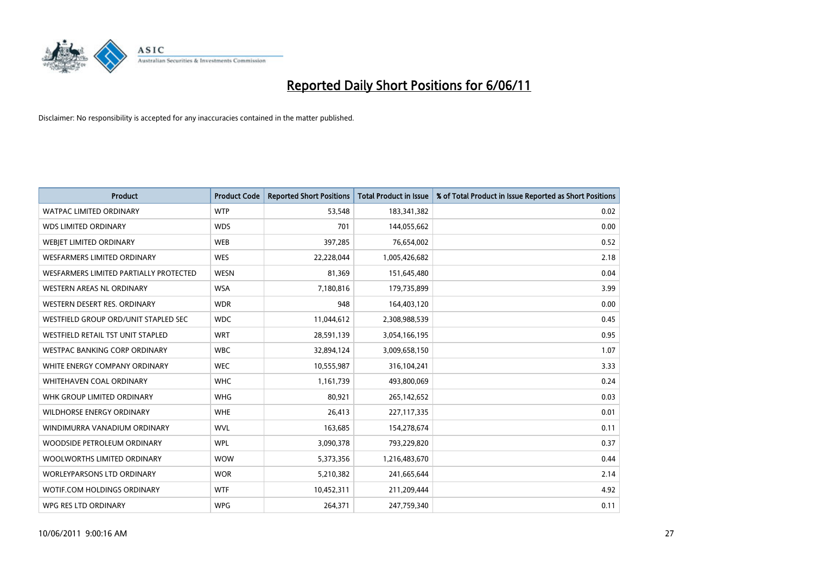

| <b>Product</b>                         | <b>Product Code</b> | <b>Reported Short Positions</b> | <b>Total Product in Issue</b> | % of Total Product in Issue Reported as Short Positions |
|----------------------------------------|---------------------|---------------------------------|-------------------------------|---------------------------------------------------------|
| <b>WATPAC LIMITED ORDINARY</b>         | <b>WTP</b>          | 53,548                          | 183,341,382                   | 0.02                                                    |
| <b>WDS LIMITED ORDINARY</b>            | <b>WDS</b>          | 701                             | 144,055,662                   | 0.00                                                    |
| WEBIET LIMITED ORDINARY                | <b>WEB</b>          | 397,285                         | 76,654,002                    | 0.52                                                    |
| <b>WESFARMERS LIMITED ORDINARY</b>     | <b>WES</b>          | 22,228,044                      | 1,005,426,682                 | 2.18                                                    |
| WESFARMERS LIMITED PARTIALLY PROTECTED | <b>WESN</b>         | 81,369                          | 151,645,480                   | 0.04                                                    |
| <b>WESTERN AREAS NL ORDINARY</b>       | <b>WSA</b>          | 7,180,816                       | 179,735,899                   | 3.99                                                    |
| WESTERN DESERT RES. ORDINARY           | <b>WDR</b>          | 948                             | 164,403,120                   | 0.00                                                    |
| WESTFIELD GROUP ORD/UNIT STAPLED SEC   | <b>WDC</b>          | 11,044,612                      | 2,308,988,539                 | 0.45                                                    |
| WESTFIELD RETAIL TST UNIT STAPLED      | <b>WRT</b>          | 28,591,139                      | 3,054,166,195                 | 0.95                                                    |
| WESTPAC BANKING CORP ORDINARY          | <b>WBC</b>          | 32,894,124                      | 3,009,658,150                 | 1.07                                                    |
| WHITE ENERGY COMPANY ORDINARY          | <b>WEC</b>          | 10,555,987                      | 316,104,241                   | 3.33                                                    |
| <b>WHITEHAVEN COAL ORDINARY</b>        | <b>WHC</b>          | 1,161,739                       | 493,800,069                   | 0.24                                                    |
| WHK GROUP LIMITED ORDINARY             | <b>WHG</b>          | 80,921                          | 265,142,652                   | 0.03                                                    |
| <b>WILDHORSE ENERGY ORDINARY</b>       | <b>WHE</b>          | 26,413                          | 227,117,335                   | 0.01                                                    |
| WINDIMURRA VANADIUM ORDINARY           | <b>WVL</b>          | 163,685                         | 154,278,674                   | 0.11                                                    |
| WOODSIDE PETROLEUM ORDINARY            | <b>WPL</b>          | 3,090,378                       | 793,229,820                   | 0.37                                                    |
| WOOLWORTHS LIMITED ORDINARY            | <b>WOW</b>          | 5,373,356                       | 1,216,483,670                 | 0.44                                                    |
| WORLEYPARSONS LTD ORDINARY             | <b>WOR</b>          | 5,210,382                       | 241,665,644                   | 2.14                                                    |
| WOTIF.COM HOLDINGS ORDINARY            | <b>WTF</b>          | 10,452,311                      | 211,209,444                   | 4.92                                                    |
| WPG RES LTD ORDINARY                   | <b>WPG</b>          | 264,371                         | 247,759,340                   | 0.11                                                    |